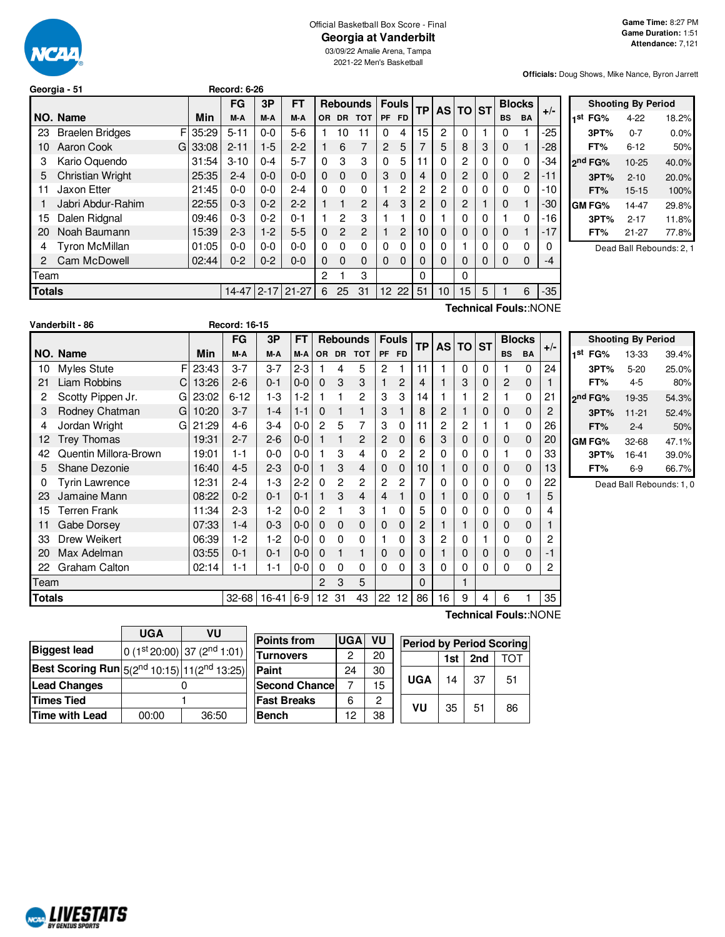

#### Official Basketball Box Score - Final **Georgia at Vanderbilt**

03/09/22 Amalie Arena, Tampa 2021-22 Men's Basketball

**Officials:** Doug Shows, Mike Nance, Byron Jarrett

|        | Georgia - 51                |       | <b>Record: 6-26</b> |          |           |              |           |                 |                |              |           |          |                |          |               |                |                       |                |
|--------|-----------------------------|-------|---------------------|----------|-----------|--------------|-----------|-----------------|----------------|--------------|-----------|----------|----------------|----------|---------------|----------------|-----------------------|----------------|
|        |                             |       | <b>FG</b>           | 3P       | FT        |              |           | <b>Rebounds</b> |                | <b>Fouls</b> | <b>TP</b> |          | AS TO ST       |          | <b>Blocks</b> |                |                       |                |
|        | NO. Name                    | Min   | M-A                 | M-A      | M-A       | OR.          | <b>DR</b> | <b>TOT</b>      | <b>PF</b>      | <b>FD</b>    |           |          |                |          | <b>BS</b>     | <b>BA</b>      | $+/-$                 | 1              |
| 23     | F<br><b>Braelen Bridges</b> | 35:29 | $5 - 11$            | $0 - 0$  | $5-6$     |              | 10        | 11              | 0              | 4            | 15        | 2        | $\Omega$       |          | 0             |                | $-25$                 |                |
| 10     | Aaron Cook<br>G             | 33:08 | $2 - 11$            | $1-5$    | $2 - 2$   |              | 6         | 7               | 2              | 5            |           | 5        | 8              | 3        | 0             |                | $-28$                 |                |
| 3      | Kario Oquendo               | 31:54 | $3 - 10$            | $0 - 4$  | $5 - 7$   | $\Omega$     | 3         | 3               | 0              | 5            | 11        | 0        | $\overline{2}$ | 0        | 0             | 0              | -34                   | $\overline{2}$ |
| 5      | <b>Christian Wright</b>     | 25:35 | $2 - 4$             | $0 - 0$  | $0 - 0$   | $\Omega$     | $\Omega$  | $\Omega$        | 3              | $\Omega$     | 4         | 0        | $\overline{2}$ | 0        | 0             | $\overline{2}$ | -11                   |                |
| 11     | Jaxon Etter                 | 21:45 | $0-0$               | $0 - 0$  | $2 - 4$   | 0            | $\Omega$  | $\Omega$        |                | 2            | 2         | 2        | $\Omega$       | 0        | 0             | 0              | $-10$                 |                |
|        | Jabri Abdur-Rahim           | 22:55 | $0 - 3$             | $0 - 2$  | $2 - 2$   | 1            | 1         | 2               | $\overline{4}$ | 3            | 2         | 0        | $\overline{c}$ |          | 0             |                | $-30$                 | C              |
| 15     | Dalen Ridgnal               | 09:46 | $0 - 3$             | $0 - 2$  | $0 - 1$   | 1            | 2         | 3               |                |              | 0         |          | $\Omega$       | $\Omega$ |               | 0              | $-16$                 |                |
| 20     | Noah Baumann                | 15:39 | $2 - 3$             | $1 - 2$  | $5-5$     | $\mathbf{0}$ | 2         | $\mathbf{2}$    |                | 2            | 10        | 0        | $\Omega$       | 0        | $\mathbf 0$   |                | $-17$                 |                |
| 4      | <b>Tyron McMillan</b>       | 01:05 | $0-0$               | $0 - 0$  | $0 - 0$   | 0            | $\Omega$  | 0               | 0              | $\Omega$     | 0         | 0        |                | 0        | 0             | 0              |                       |                |
|        | Cam McDowell                | 02:44 | $0 - 2$             | $0 - 2$  | $0 - 0$   | $\Omega$     | $\Omega$  | $\Omega$        | $\Omega$       | $\Omega$     | $\Omega$  | $\Omega$ | $\Omega$       | 0        | 0             | $\Omega$       | -4                    |                |
| Team   |                             |       |                     |          |           | 2            |           | 3               |                |              | 0         |          | 0              |          |               |                |                       |                |
| Totals |                             |       | $14 - 47$           | $2 - 17$ | $21 - 27$ | 6            | 25        | 31              | 12 22          |              | 51        | 10       | 15             | 5        |               | 6              | $-35$                 |                |
|        |                             |       |                     |          |           |              |           |                 |                |              |           |          |                |          |               |                | Technical Fouls::NONE |                |

|     |                     | <b>Shooting By Period</b> |       |
|-----|---------------------|---------------------------|-------|
| 1st | FG%                 | $4 - 22$                  | 18.2% |
|     | 3PT%                | $0 - 7$                   | 0.0%  |
|     | FT%                 | 6-12                      | 50%   |
|     | 2 <sup>nd</sup> FG% | 10-25                     | 40.0% |
|     | 3PT%                | $2 - 10$                  | 20.0% |
|     | FT%                 | $15 - 15$                 | 100%  |
|     | <b>GM FG%</b>       | 14-47                     | 29.8% |
|     | 3PT%                | $2 - 17$                  | 11.8% |
|     | FT%                 | 21-27                     | 77.8% |
|     |                     |                           |       |

Dead Ball Rebounds: 2, 1

|        | Vanderbilt - 86       |   |       | <b>Record: 16-15</b> |             |         |               |    |                 |                |              |           |    |          |           |                |               |       |           |
|--------|-----------------------|---|-------|----------------------|-------------|---------|---------------|----|-----------------|----------------|--------------|-----------|----|----------|-----------|----------------|---------------|-------|-----------|
|        |                       |   |       | <b>FG</b>            | 3P          | FT      |               |    | <b>Rebounds</b> |                | <b>Fouls</b> | <b>TP</b> |    | AS TO    | <b>ST</b> |                | <b>Blocks</b> | $+/-$ |           |
|        | NO. Name              |   | Min   | M-A                  | M-A         | $M-A$   | <b>OR</b>     |    | DR TOT          | PF FD          |              |           |    |          |           | <b>BS</b>      | BA            |       | 1st       |
| 10     | <b>Myles Stute</b>    | F | 23:43 | $3 - 7$              | $3 - 7$     | $2 - 3$ |               | 4  | 5               | $\overline{2}$ | 1            | 11        |    | $\Omega$ | $\Omega$  |                | 0             | 24    |           |
| 21     | Liam Robbins          | C | 13:26 | $2 - 6$              | $0 - 1$     | $0 - 0$ | $\Omega$      | 3  | 3               |                | 2            | 4         |    | 3        | 0         | $\overline{2}$ | 0             |       |           |
| 2      | Scotty Pippen Jr.     | G | 23:02 | $6 - 12$             | $1-3$       | $1 - 2$ |               |    | 2               | 3              | 3            | 14        |    |          | 2         |                | 0             | 21    | ەnر       |
| 3      | Rodney Chatman        | G | 10:20 | $3 - 7$              | $1 - 4$     | $1 - 1$ | 0             |    | 1               | 3              | 1            | 8         | 2  |          | 0         | $\mathbf 0$    | 0             | 2     |           |
| 4      | Jordan Wright         | G | 21:29 | $4-6$                | $3 - 4$     | $0-0$   | 2             | 5  | 7               | 3              | $\Omega$     | 11        | 2  | 2        |           |                | 0             | 26    |           |
| 12     | <b>Trey Thomas</b>    |   | 19:31 | $2 - 7$              | $2 - 6$     | $0 - 0$ |               |    | $\mathbf{2}$    | 2              | $\Omega$     | 6         | 3  | $\Omega$ | 0         | 0              | 0             | 20    | <b>GM</b> |
| 42     | Quentin Millora-Brown |   | 19:01 | $1 - 1$              | $0 - 0$     | $0 - 0$ |               | 3  | 4               | 0              | 2            | 2         | 0  | 0        | 0         |                | 0             | 33    |           |
| 5      | Shane Dezonie         |   | 16:40 | $4 - 5$              | $2 - 3$     | $0 - 0$ |               | 3  | 4               | 0              | $\Omega$     | 10        |    | 0        | 0         | 0              | 0             | 13    |           |
| 0      | Tyrin Lawrence        |   | 12:31 | $2 - 4$              | $1-3$       | $2 - 2$ | 0             | 2  | 2               | $\overline{c}$ | 2            | 7         | 0  | 0        | 0         | $\Omega$       | 0             | 22    |           |
| 23     | Jamaine Mann          |   | 08:22 | $0 - 2$              | $0 - 1$     | $0 - 1$ |               | 3  | 4               | $\overline{4}$ |              | 0         |    | $\Omega$ | 0         | 0              |               | 5     |           |
| 15     | Terren Frank          |   | 11:34 | $2 - 3$              | $1-2$       | $0-0$   | 2             |    | 3               |                | $\Omega$     | 5         | 0  | 0        | 0         | 0              | 0             | 4     |           |
| 11     | Gabe Dorsey           |   | 07:33 | $1 - 4$              | $0 - 3$     | $0 - 0$ | 0             | 0  | 0               | 0              | $\mathbf{0}$ | 2         |    |          | 0         | 0              | 0             |       |           |
| 33     | Drew Weikert          |   | 06:39 | $1-2$                | $1-2$       | $0 - 0$ | 0             | 0  | 0               |                | 0            | 3         | 2  | 0        |           | 0              | 0             | 2     |           |
| 20     | Max Adelman           |   | 03:55 | $0 - 1$              | $0 - 1$     | $0-0$   | $\Omega$      |    |                 | 0              | $\Omega$     | 0         |    | $\Omega$ | 0         | 0              | 0             | -1    |           |
| 22     | Graham Calton         |   | 02:14 | $1 - 1$              | $1 - 1$     | $0-0$   | 0             | 0  | 0               | 0              | $\Omega$     | 3         | 0  | 0        | 0         | 0              | 0             | 2     |           |
| Team   |                       |   |       |                      |             |         | $\mathcal{P}$ | 3  | 5               |                |              | 0         |    |          |           |                |               |       |           |
| Totals |                       |   |       | 32-68                | $16-41$ 6-9 |         | 12            | 31 | 43              | 22             | 12           | 86        | 16 | 9        | 4         | 6              |               | 35    |           |

|     | <b>Shooting By Period</b> |           |       |  |  |  |  |  |  |
|-----|---------------------------|-----------|-------|--|--|--|--|--|--|
| 1st | FG%                       | 13-33     | 39.4% |  |  |  |  |  |  |
|     | 3PT%                      | $5 - 20$  | 25.0% |  |  |  |  |  |  |
|     | FT%                       | 4-5       | 80%   |  |  |  |  |  |  |
|     | 2nd FG%                   | 19-35     | 54.3% |  |  |  |  |  |  |
|     | 3PT%                      | $11 - 21$ | 52.4% |  |  |  |  |  |  |
|     | FT%                       | $2 - 4$   | 50%   |  |  |  |  |  |  |
|     | GM FG%                    | 32-68     | 47.1% |  |  |  |  |  |  |
|     | 3PT%                      | 16-41     | 39.0% |  |  |  |  |  |  |
|     | FT%                       | $6-9$     | 66.7% |  |  |  |  |  |  |

Dead Ball Rebounds: 1, 0

|                                                     | UGA   | VU                              |  |  |  |
|-----------------------------------------------------|-------|---------------------------------|--|--|--|
| <b>Biggest lead</b>                                 |       | 0 $(1st 20:00)$ 37 $(2nd 1:01)$ |  |  |  |
| Best Scoring Run $ 5(2^{nd}10:15) 11(2^{nd}13:25) $ |       |                                 |  |  |  |
| <b>Lead Changes</b>                                 |       |                                 |  |  |  |
| <b>Times Tied</b>                                   |       |                                 |  |  |  |
| <b>Time with Lead</b>                               | 00:00 | 36:50                           |  |  |  |

**NCAL LIVESTATS** 

| <b>Points from</b>   | <b>UGA</b> | VU |  |
|----------------------|------------|----|--|
| <b>Turnovers</b>     | 2          | 20 |  |
| Paint                | 24         | 30 |  |
| <b>Second Chance</b> |            | 15 |  |
| <b>Fast Breaks</b>   | 6          | 2  |  |
| <b>Bench</b>         | 12         | 38 |  |

**Technical Fouls:**:NONE

| <b>Period by Period Scoring</b> |                   |    |    |  |  |  |  |  |  |
|---------------------------------|-------------------|----|----|--|--|--|--|--|--|
|                                 | 2nd<br>1st<br>TOT |    |    |  |  |  |  |  |  |
| UGA                             | 14                | 37 | 51 |  |  |  |  |  |  |
| VU                              | 35                | 51 | 86 |  |  |  |  |  |  |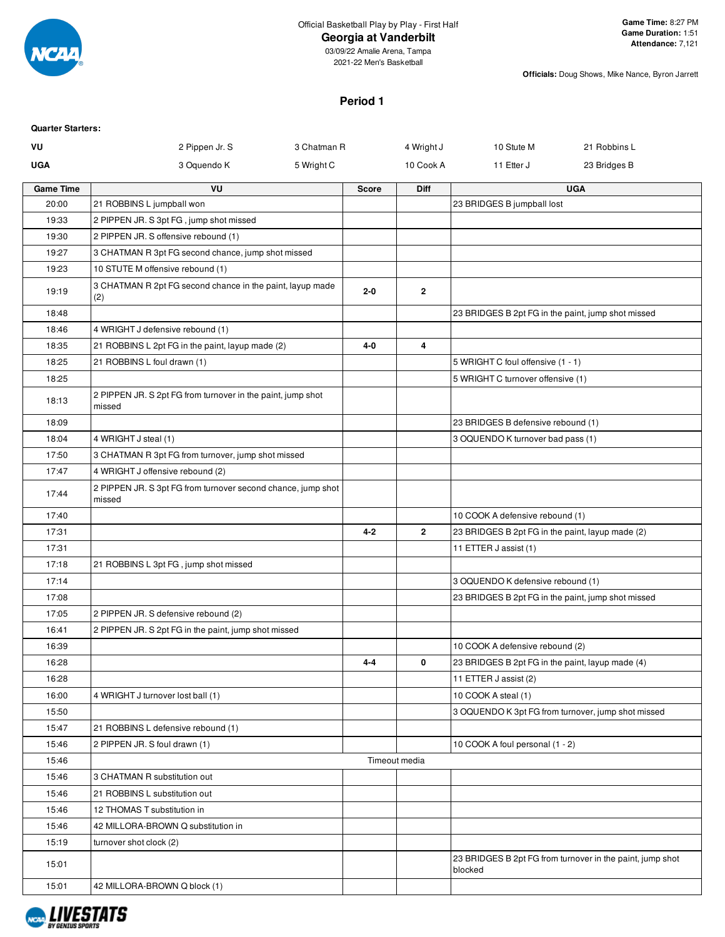

03/09/22 Amalie Arena, Tampa 2021-22 Men's Basketball

**Officials:** Doug Shows, Mike Nance, Byron Jarrett

## **Period 1**

| <b>Quarter Starters:</b> |                                                                        |             |               |              |                                                    |                                                           |
|--------------------------|------------------------------------------------------------------------|-------------|---------------|--------------|----------------------------------------------------|-----------------------------------------------------------|
| VU                       | 2 Pippen Jr. S                                                         | 3 Chatman R |               | 4 Wright J   | 10 Stute M                                         | 21 Robbins L                                              |
| <b>UGA</b>               | 3 Oquendo K                                                            | 5 Wright C  |               | 10 Cook A    | 11 Etter J                                         | 23 Bridges B                                              |
| <b>Game Time</b>         | VU                                                                     |             | <b>Score</b>  | Diff         |                                                    | <b>UGA</b>                                                |
| 20:00                    | 21 ROBBINS L jumpball won                                              |             |               |              | 23 BRIDGES B jumpball lost                         |                                                           |
| 19:33                    | 2 PIPPEN JR. S 3pt FG, jump shot missed                                |             |               |              |                                                    |                                                           |
| 19:30                    | 2 PIPPEN JR. S offensive rebound (1)                                   |             |               |              |                                                    |                                                           |
| 19:27                    | 3 CHATMAN R 3pt FG second chance, jump shot missed                     |             |               |              |                                                    |                                                           |
| 19:23                    | 10 STUTE M offensive rebound (1)                                       |             |               |              |                                                    |                                                           |
| 19:19                    | 3 CHATMAN R 2pt FG second chance in the paint, layup made<br>(2)       |             | $2 - 0$       | 2            |                                                    |                                                           |
| 18:48                    |                                                                        |             |               |              | 23 BRIDGES B 2pt FG in the paint, jump shot missed |                                                           |
| 18:46                    | 4 WRIGHT J defensive rebound (1)                                       |             |               |              |                                                    |                                                           |
| 18:35                    | 21 ROBBINS L 2pt FG in the paint, layup made (2)                       |             | 4-0           | 4            |                                                    |                                                           |
| 18:25                    | 21 ROBBINS L foul drawn (1)                                            |             |               |              | 5 WRIGHT C foul offensive (1 - 1)                  |                                                           |
| 18:25                    |                                                                        |             |               |              | 5 WRIGHT C turnover offensive (1)                  |                                                           |
| 18:13                    | 2 PIPPEN JR. S 2pt FG from turnover in the paint, jump shot<br>missed  |             |               |              |                                                    |                                                           |
| 18:09                    |                                                                        |             |               |              | 23 BRIDGES B defensive rebound (1)                 |                                                           |
| 18:04                    | 4 WRIGHT J steal (1)                                                   |             |               |              | 3 OQUENDO K turnover bad pass (1)                  |                                                           |
| 17:50                    | 3 CHATMAN R 3pt FG from turnover, jump shot missed                     |             |               |              |                                                    |                                                           |
| 17:47                    | 4 WRIGHT J offensive rebound (2)                                       |             |               |              |                                                    |                                                           |
| 17:44                    | 2 PIPPEN JR. S 3pt FG from turnover second chance, jump shot<br>missed |             |               |              |                                                    |                                                           |
| 17:40                    |                                                                        |             |               |              | 10 COOK A defensive rebound (1)                    |                                                           |
| 17:31                    |                                                                        |             | $4 - 2$       | $\mathbf{2}$ | 23 BRIDGES B 2pt FG in the paint, layup made (2)   |                                                           |
| 17:31                    |                                                                        |             |               |              | 11 ETTER J assist (1)                              |                                                           |
| 17:18                    | 21 ROBBINS L 3pt FG, jump shot missed                                  |             |               |              |                                                    |                                                           |
| 17:14                    |                                                                        |             |               |              | 3 OQUENDO K defensive rebound (1)                  |                                                           |
| 17:08                    |                                                                        |             |               |              | 23 BRIDGES B 2pt FG in the paint, jump shot missed |                                                           |
| 17:05                    | 2 PIPPEN JR. S defensive rebound (2)                                   |             |               |              |                                                    |                                                           |
| 16:41                    | 2 PIPPEN JR. S 2pt FG in the paint, jump shot missed                   |             |               |              |                                                    |                                                           |
| 16:39                    |                                                                        |             |               |              | 10 COOK A defensive rebound (2)                    |                                                           |
| 16:28                    |                                                                        |             | 4-4           | 0            | 23 BRIDGES B 2pt FG in the paint, layup made (4)   |                                                           |
| 16:28                    |                                                                        |             |               |              | 11 ETTER J assist (2)                              |                                                           |
| 16:00                    | 4 WRIGHT J turnover lost ball (1)                                      |             |               |              | 10 COOK A steal (1)                                |                                                           |
| 15:50                    |                                                                        |             |               |              | 3 OQUENDO K 3pt FG from turnover, jump shot missed |                                                           |
| 15:47                    | 21 ROBBINS L defensive rebound (1)                                     |             |               |              |                                                    |                                                           |
| 15:46                    | 2 PIPPEN JR. S foul drawn (1)                                          |             |               |              | 10 COOK A foul personal (1 - 2)                    |                                                           |
| 15:46                    |                                                                        |             | Timeout media |              |                                                    |                                                           |
| 15:46                    | 3 CHATMAN R substitution out                                           |             |               |              |                                                    |                                                           |
| 15:46                    | 21 ROBBINS L substitution out                                          |             |               |              |                                                    |                                                           |
| 15:46                    | 12 THOMAS T substitution in                                            |             |               |              |                                                    |                                                           |
| 15:46                    | 42 MILLORA-BROWN Q substitution in                                     |             |               |              |                                                    |                                                           |
| 15:19                    | turnover shot clock (2)                                                |             |               |              |                                                    |                                                           |
| 15:01                    |                                                                        |             |               |              | blocked                                            | 23 BRIDGES B 2pt FG from turnover in the paint, jump shot |
| 15:01                    | 42 MILLORA-BROWN Q block (1)                                           |             |               |              |                                                    |                                                           |

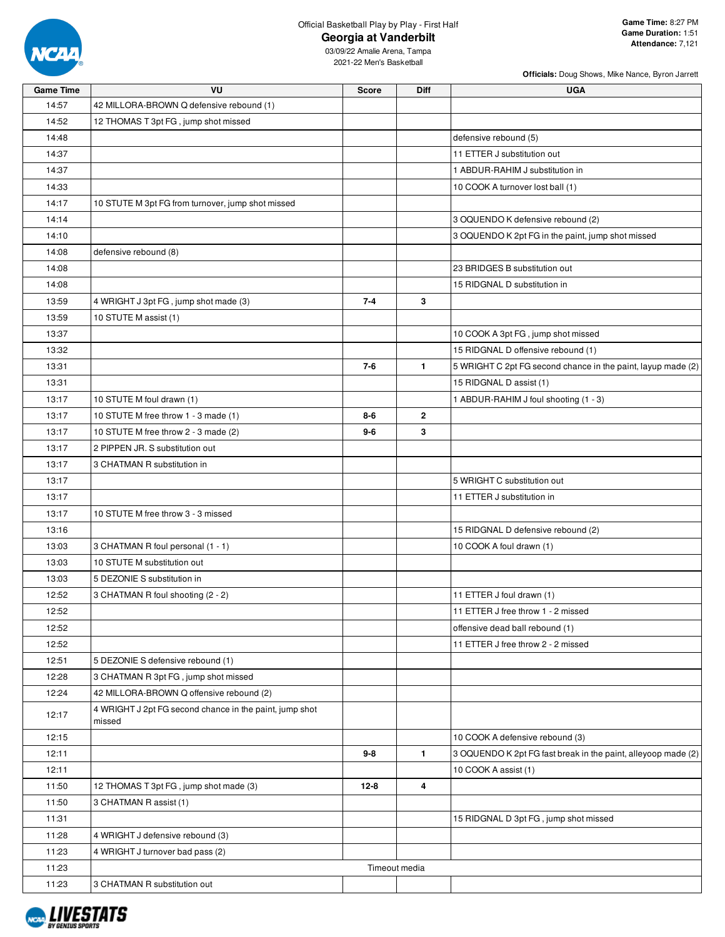

**Officials:** Doug Shows, Mike Nance, Byron Jarrett

| <b>Game Time</b> | VU                                                                | <b>Score</b> | Diff          | <b>UGA</b>                                                    |
|------------------|-------------------------------------------------------------------|--------------|---------------|---------------------------------------------------------------|
| 14:57            | 42 MILLORA-BROWN Q defensive rebound (1)                          |              |               |                                                               |
| 14:52            | 12 THOMAS T 3pt FG, jump shot missed                              |              |               |                                                               |
| 14:48            |                                                                   |              |               | defensive rebound (5)                                         |
| 14:37            |                                                                   |              |               | 11 ETTER J substitution out                                   |
| 14:37            |                                                                   |              |               | 1 ABDUR-RAHIM J substitution in                               |
| 14:33            |                                                                   |              |               | 10 COOK A turnover lost ball (1)                              |
| 14:17            | 10 STUTE M 3pt FG from turnover, jump shot missed                 |              |               |                                                               |
| 14:14            |                                                                   |              |               | 3 OQUENDO K defensive rebound (2)                             |
| 14:10            |                                                                   |              |               | 3 OQUENDO K 2pt FG in the paint, jump shot missed             |
| 14:08            | defensive rebound (8)                                             |              |               |                                                               |
| 14:08            |                                                                   |              |               | 23 BRIDGES B substitution out                                 |
| 14:08            |                                                                   |              |               | 15 RIDGNAL D substitution in                                  |
| 13:59            | 4 WRIGHT J 3pt FG, jump shot made (3)                             | $7 - 4$      | 3             |                                                               |
| 13:59            | 10 STUTE M assist (1)                                             |              |               |                                                               |
| 13:37            |                                                                   |              |               | 10 COOK A 3pt FG, jump shot missed                            |
| 13:32            |                                                                   |              |               | 15 RIDGNAL D offensive rebound (1)                            |
| 13:31            |                                                                   | $7 - 6$      | $\mathbf{1}$  | 5 WRIGHT C 2pt FG second chance in the paint, layup made (2)  |
| 13:31            |                                                                   |              |               | 15 RIDGNAL D assist (1)                                       |
| 13:17            | 10 STUTE M foul drawn (1)                                         |              |               | 1 ABDUR-RAHIM J foul shooting (1 - 3)                         |
| 13:17            | 10 STUTE M free throw 1 - 3 made (1)                              | $8 - 6$      | $\mathbf{2}$  |                                                               |
| 13:17            | 10 STUTE M free throw 2 - 3 made (2)                              | $9-6$        | 3             |                                                               |
| 13:17            | 2 PIPPEN JR. S substitution out                                   |              |               |                                                               |
| 13:17            | 3 CHATMAN R substitution in                                       |              |               |                                                               |
| 13:17            |                                                                   |              |               | 5 WRIGHT C substitution out                                   |
| 13:17            |                                                                   |              |               | 11 ETTER J substitution in                                    |
| 13:17            | 10 STUTE M free throw 3 - 3 missed                                |              |               |                                                               |
| 13:16            |                                                                   |              |               | 15 RIDGNAL D defensive rebound (2)                            |
| 13:03            | 3 CHATMAN R foul personal (1 - 1)                                 |              |               | 10 COOK A foul drawn (1)                                      |
| 13:03            |                                                                   |              |               |                                                               |
|                  | 10 STUTE M substitution out                                       |              |               |                                                               |
| 13:03            | 5 DEZONIE S substitution in                                       |              |               |                                                               |
| 12:52            | 3 CHATMAN R foul shooting (2 - 2)                                 |              |               | 11 ETTER J foul drawn (1)                                     |
| 12:52            |                                                                   |              |               | 11 ETTER J free throw 1 - 2 missed                            |
| 12:52            |                                                                   |              |               | offensive dead ball rebound (1)                               |
| 12:52            |                                                                   |              |               | 11 ETTER J free throw 2 - 2 missed                            |
| 12:51            | 5 DEZONIE S defensive rebound (1)                                 |              |               |                                                               |
| 12:28            | 3 CHATMAN R 3pt FG, jump shot missed                              |              |               |                                                               |
| 12:24            | 42 MILLORA-BROWN Q offensive rebound (2)                          |              |               |                                                               |
| 12:17            | 4 WRIGHT J 2pt FG second chance in the paint, jump shot<br>missed |              |               |                                                               |
| 12:15            |                                                                   |              |               | 10 COOK A defensive rebound (3)                               |
| 12:11            |                                                                   | $9 - 8$      | 1             | 3 OQUENDO K 2pt FG fast break in the paint, alleyoop made (2) |
| 12:11            |                                                                   |              |               | 10 COOK A assist (1)                                          |
| 11:50            | 12 THOMAS T 3pt FG, jump shot made (3)                            | 12-8         | 4             |                                                               |
| 11:50            | 3 CHATMAN R assist (1)                                            |              |               |                                                               |
| 11:31            |                                                                   |              |               | 15 RIDGNAL D 3pt FG, jump shot missed                         |
| 11:28            | 4 WRIGHT J defensive rebound (3)                                  |              |               |                                                               |
| 11:23            | 4 WRIGHT J turnover bad pass (2)                                  |              |               |                                                               |
| 11:23            |                                                                   |              | Timeout media |                                                               |
| 11:23            | 3 CHATMAN R substitution out                                      |              |               |                                                               |

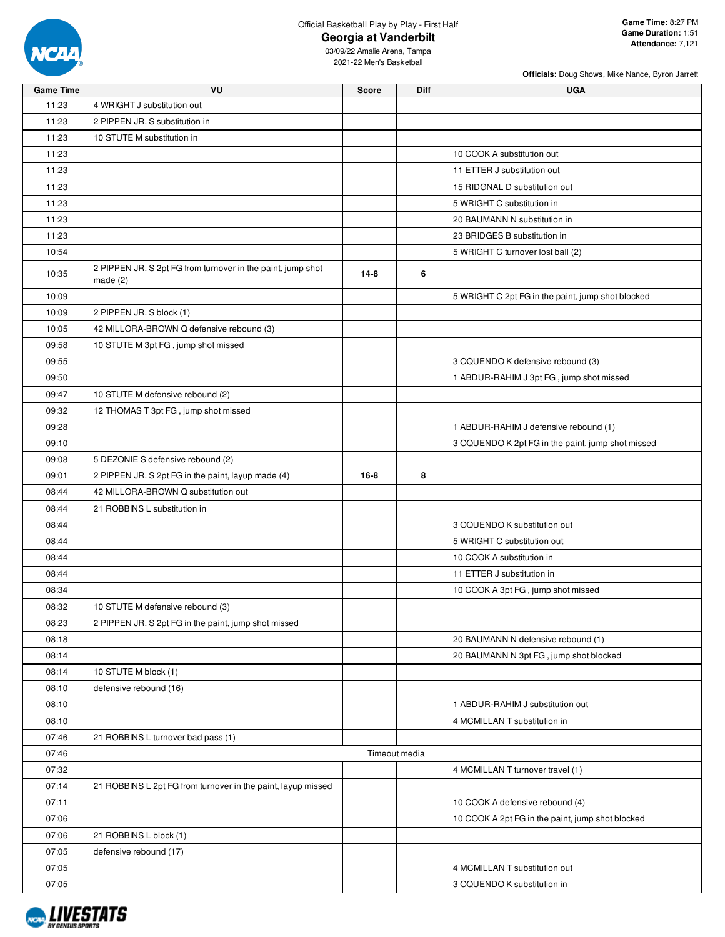

**Officials:** Doug Shows, Mike Nance, Byron Jarrett

| <b>Game Time</b> | VU                                                                        | <b>Score</b>  | <b>Diff</b> | <b>UGA</b>                                        |
|------------------|---------------------------------------------------------------------------|---------------|-------------|---------------------------------------------------|
| 11:23            | 4 WRIGHT J substitution out                                               |               |             |                                                   |
| 11:23            | 2 PIPPEN JR. S substitution in                                            |               |             |                                                   |
| 11:23            | 10 STUTE M substitution in                                                |               |             |                                                   |
| 11:23            |                                                                           |               |             | 10 COOK A substitution out                        |
| 11:23            |                                                                           |               |             | 11 ETTER J substitution out                       |
| 11:23            |                                                                           |               |             | 15 RIDGNAL D substitution out                     |
| 11:23            |                                                                           |               |             | 5 WRIGHT C substitution in                        |
| 11:23            |                                                                           |               |             | 20 BAUMANN N substitution in                      |
| 11:23            |                                                                           |               |             | 23 BRIDGES B substitution in                      |
| 10:54            |                                                                           |               |             | 5 WRIGHT C turnover lost ball (2)                 |
| 10:35            | 2 PIPPEN JR. S 2pt FG from turnover in the paint, jump shot<br>made $(2)$ | $14 - 8$      | 6           |                                                   |
| 10:09            |                                                                           |               |             | 5 WRIGHT C 2pt FG in the paint, jump shot blocked |
| 10:09            | 2 PIPPEN JR. S block (1)                                                  |               |             |                                                   |
| 10:05            | 42 MILLORA-BROWN Q defensive rebound (3)                                  |               |             |                                                   |
| 09:58            | 10 STUTE M 3pt FG, jump shot missed                                       |               |             |                                                   |
| 09:55            |                                                                           |               |             | 3 OQUENDO K defensive rebound (3)                 |
| 09:50            |                                                                           |               |             | 1 ABDUR-RAHIM J 3pt FG, jump shot missed          |
| 09:47            | 10 STUTE M defensive rebound (2)                                          |               |             |                                                   |
| 09:32            | 12 THOMAS T 3pt FG, jump shot missed                                      |               |             |                                                   |
| 09:28            |                                                                           |               |             | 1 ABDUR-RAHIM J defensive rebound (1)             |
| 09:10            |                                                                           |               |             | 3 OQUENDO K 2pt FG in the paint, jump shot missed |
| 09:08            | 5 DEZONIE S defensive rebound (2)                                         |               |             |                                                   |
| 09:01            | 2 PIPPEN JR. S 2pt FG in the paint, layup made (4)                        | $16 - 8$      | 8           |                                                   |
| 08:44            | 42 MILLORA-BROWN Q substitution out                                       |               |             |                                                   |
| 08:44            | 21 ROBBINS L substitution in                                              |               |             |                                                   |
| 08:44            |                                                                           |               |             | 3 OQUENDO K substitution out                      |
| 08:44            |                                                                           |               |             | 5 WRIGHT C substitution out                       |
| 08:44            |                                                                           |               |             | 10 COOK A substitution in                         |
| 08:44            |                                                                           |               |             | 11 ETTER J substitution in                        |
| 08:34            |                                                                           |               |             | 10 COOK A 3pt FG, jump shot missed                |
| 08:32            | 10 STUTE M defensive rebound (3)                                          |               |             |                                                   |
| 08:23            | 2 PIPPEN JR. S 2pt FG in the paint, jump shot missed                      |               |             |                                                   |
| 08:18            |                                                                           |               |             | 20 BAUMANN N defensive rebound (1)                |
| 08:14            |                                                                           |               |             | 20 BAUMANN N 3pt FG, jump shot blocked            |
| 08:14            | 10 STUTE M block (1)                                                      |               |             |                                                   |
| 08:10            | defensive rebound (16)                                                    |               |             |                                                   |
| 08:10            |                                                                           |               |             | 1 ABDUR-RAHIM J substitution out                  |
| 08:10            |                                                                           |               |             | 4 MCMILLAN T substitution in                      |
| 07:46            | 21 ROBBINS L turnover bad pass (1)                                        |               |             |                                                   |
| 07:46            |                                                                           | Timeout media |             |                                                   |
| 07:32            |                                                                           |               |             | 4 MCMILLAN T turnover travel (1)                  |
| 07:14            | 21 ROBBINS L 2pt FG from turnover in the paint, layup missed              |               |             |                                                   |
| 07:11            |                                                                           |               |             | 10 COOK A defensive rebound (4)                   |
| 07:06            |                                                                           |               |             | 10 COOK A 2pt FG in the paint, jump shot blocked  |
| 07:06            | 21 ROBBINS L block (1)                                                    |               |             |                                                   |
| 07:05            | defensive rebound (17)                                                    |               |             |                                                   |
| 07:05            |                                                                           |               |             | 4 MCMILLAN T substitution out                     |
| 07:05            |                                                                           |               |             | 3 OQUENDO K substitution in                       |

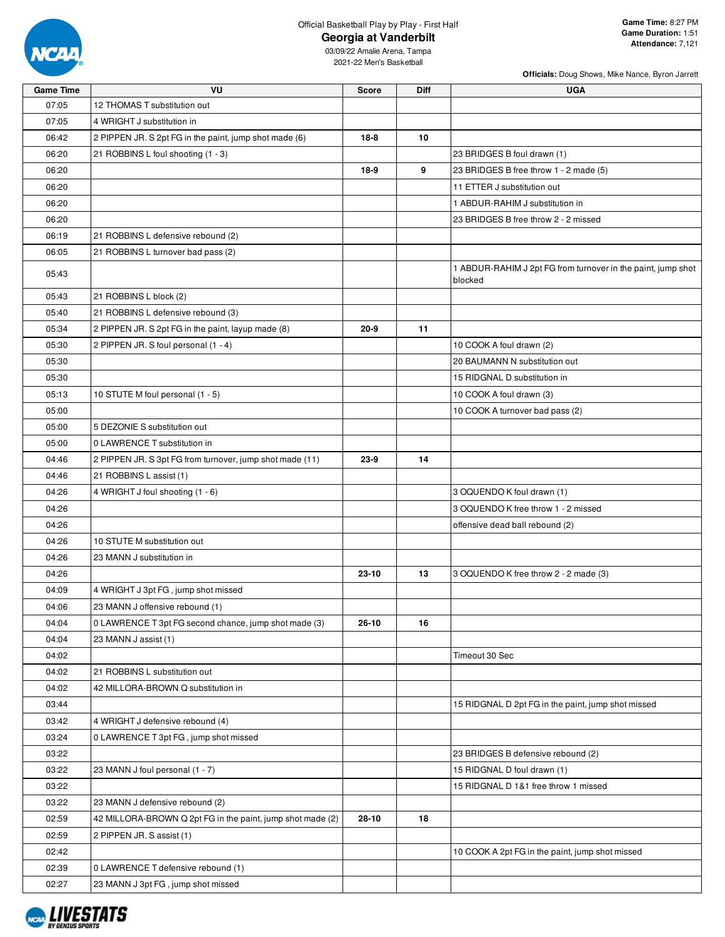

**Officials:** Doug Shows, Mike Nance, Byron Jarrett

| <b>Game Time</b> | VU                                                         | Score     | Diff | <b>UGA</b>                                                              |
|------------------|------------------------------------------------------------|-----------|------|-------------------------------------------------------------------------|
| 07:05            | 12 THOMAS T substitution out                               |           |      |                                                                         |
| 07:05            | 4 WRIGHT J substitution in                                 |           |      |                                                                         |
| 06:42            | 2 PIPPEN JR. S 2pt FG in the paint, jump shot made (6)     | $18 - 8$  | 10   |                                                                         |
| 06:20            | 21 ROBBINS L foul shooting (1 - 3)                         |           |      | 23 BRIDGES B foul drawn (1)                                             |
| 06:20            |                                                            | $18-9$    | 9    | 23 BRIDGES B free throw 1 - 2 made (5)                                  |
| 06:20            |                                                            |           |      | 11 ETTER J substitution out                                             |
| 06:20            |                                                            |           |      | 1 ABDUR-RAHIM J substitution in                                         |
| 06:20            |                                                            |           |      | 23 BRIDGES B free throw 2 - 2 missed                                    |
| 06:19            | 21 ROBBINS L defensive rebound (2)                         |           |      |                                                                         |
| 06:05            | 21 ROBBINS L turnover bad pass (2)                         |           |      |                                                                         |
| 05:43            |                                                            |           |      | 1 ABDUR-RAHIM J 2pt FG from turnover in the paint, jump shot<br>blocked |
| 05:43            | 21 ROBBINS L block (2)                                     |           |      |                                                                         |
| 05:40            | 21 ROBBINS L defensive rebound (3)                         |           |      |                                                                         |
| 05:34            | 2 PIPPEN JR. S 2pt FG in the paint, layup made (8)         | $20 - 9$  | 11   |                                                                         |
| 05:30            | 2 PIPPEN JR. S foul personal (1 - 4)                       |           |      | 10 COOK A foul drawn (2)                                                |
| 05:30            |                                                            |           |      | 20 BAUMANN N substitution out                                           |
| 05:30            |                                                            |           |      | 15 RIDGNAL D substitution in                                            |
| 05:13            | 10 STUTE M foul personal (1 - 5)                           |           |      | 10 COOK A foul drawn (3)                                                |
| 05:00            |                                                            |           |      | 10 COOK A turnover bad pass (2)                                         |
| 05:00            | 5 DEZONIE S substitution out                               |           |      |                                                                         |
| 05:00            | 0 LAWRENCE T substitution in                               |           |      |                                                                         |
| 04:46            | 2 PIPPEN JR. S 3pt FG from turnover, jump shot made (11)   | $23-9$    | 14   |                                                                         |
| 04:46            | 21 ROBBINS L assist (1)                                    |           |      |                                                                         |
| 04:26            | 4 WRIGHT J foul shooting (1 - 6)                           |           |      | 3 OQUENDO K foul drawn (1)                                              |
| 04:26            |                                                            |           |      | 3 OQUENDO K free throw 1 - 2 missed                                     |
| 04:26            |                                                            |           |      | offensive dead ball rebound (2)                                         |
| 04:26            | 10 STUTE M substitution out                                |           |      |                                                                         |
| 04:26            | 23 MANN J substitution in                                  |           |      |                                                                         |
| 04:26            |                                                            | 23-10     | 13   | 3 OQUENDO K free throw 2 - 2 made (3)                                   |
| 04:09            | 4 WRIGHT J 3pt FG, jump shot missed                        |           |      |                                                                         |
| 04:06            | 23 MANN J offensive rebound (1)                            |           |      |                                                                         |
| 04:04            | 0 LAWRENCE T 3pt FG second chance, jump shot made (3)      | $26 - 10$ | 16   |                                                                         |
| 04:04            | 23 MANN J assist (1)                                       |           |      |                                                                         |
| 04:02            |                                                            |           |      | Timeout 30 Sec                                                          |
| 04:02            | 21 ROBBINS L substitution out                              |           |      |                                                                         |
| 04:02            | 42 MILLORA-BROWN Q substitution in                         |           |      |                                                                         |
| 03:44            |                                                            |           |      | 15 RIDGNAL D 2pt FG in the paint, jump shot missed                      |
| 03:42            | 4 WRIGHT J defensive rebound (4)                           |           |      |                                                                         |
| 03:24            | 0 LAWRENCE T 3pt FG, jump shot missed                      |           |      |                                                                         |
| 03:22            |                                                            |           |      | 23 BRIDGES B defensive rebound (2)                                      |
| 03:22            | 23 MANN J foul personal (1 - 7)                            |           |      | 15 RIDGNAL D foul drawn (1)                                             |
| 03:22            |                                                            |           |      | 15 RIDGNAL D 1&1 free throw 1 missed                                    |
| 03:22            | 23 MANN J defensive rebound (2)                            |           |      |                                                                         |
| 02:59            | 42 MILLORA-BROWN Q 2pt FG in the paint, jump shot made (2) | 28-10     | 18   |                                                                         |
| 02:59            | 2 PIPPEN JR. S assist (1)                                  |           |      |                                                                         |
| 02:42            |                                                            |           |      | 10 COOK A 2pt FG in the paint, jump shot missed                         |
| 02:39            | 0 LAWRENCE T defensive rebound (1)                         |           |      |                                                                         |
| 02:27            | 23 MANN J 3pt FG, jump shot missed                         |           |      |                                                                         |
|                  |                                                            |           |      |                                                                         |

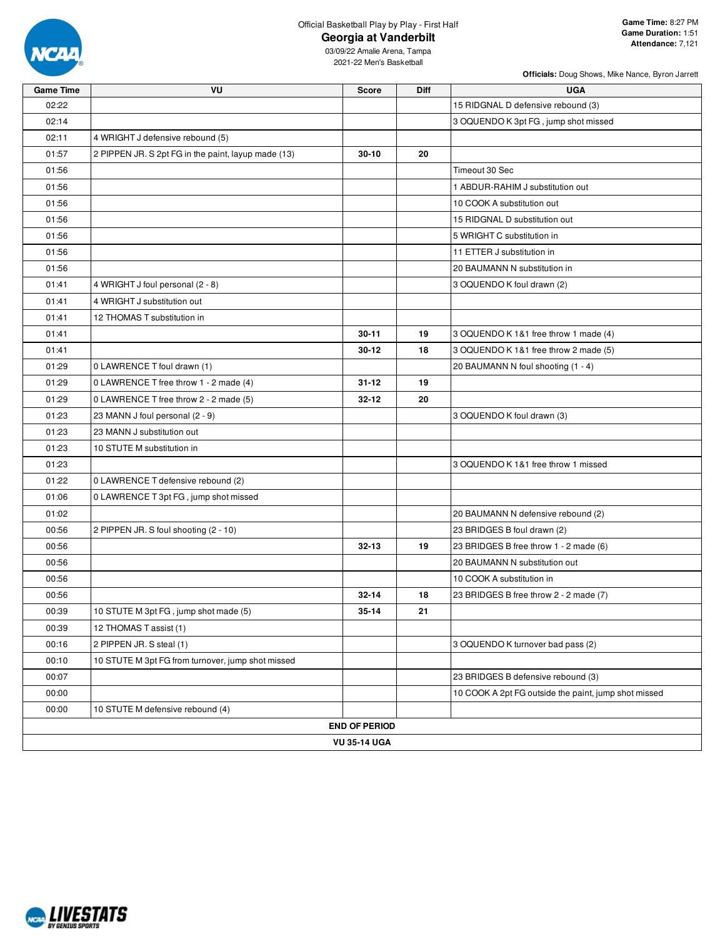

**Officials:** Doug Shows, Mike Nance, Byron Jarrett

| <b>Game Time</b> | VU                                                  | <b>Score</b>         | Diff | <b>UGA</b>                                           |  |  |  |  |  |
|------------------|-----------------------------------------------------|----------------------|------|------------------------------------------------------|--|--|--|--|--|
| 02:22            |                                                     |                      |      | 15 RIDGNAL D defensive rebound (3)                   |  |  |  |  |  |
| 02:14            |                                                     |                      |      | 3 OQUENDO K 3pt FG, jump shot missed                 |  |  |  |  |  |
| 02:11            | 4 WRIGHT J defensive rebound (5)                    |                      |      |                                                      |  |  |  |  |  |
| 01:57            | 2 PIPPEN JR. S 2pt FG in the paint, layup made (13) | $30 - 10$            | 20   |                                                      |  |  |  |  |  |
| 01:56            |                                                     |                      |      | Timeout 30 Sec                                       |  |  |  |  |  |
| 01:56            |                                                     |                      |      | 1 ABDUR-RAHIM J substitution out                     |  |  |  |  |  |
| 01:56            |                                                     |                      |      | 10 COOK A substitution out                           |  |  |  |  |  |
| 01:56            |                                                     |                      |      | 15 RIDGNAL D substitution out                        |  |  |  |  |  |
| 01:56            |                                                     |                      |      | 5 WRIGHT C substitution in                           |  |  |  |  |  |
| 01:56            |                                                     |                      |      | 11 ETTER J substitution in                           |  |  |  |  |  |
| 01:56            |                                                     |                      |      | 20 BAUMANN N substitution in                         |  |  |  |  |  |
| 01:41            | 4 WRIGHT J foul personal (2 - 8)                    |                      |      | 3 OQUENDO K foul drawn (2)                           |  |  |  |  |  |
| 01:41            | 4 WRIGHT J substitution out                         |                      |      |                                                      |  |  |  |  |  |
| 01:41            | 12 THOMAS T substitution in                         |                      |      |                                                      |  |  |  |  |  |
| 01:41            |                                                     | $30 - 11$            | 19   | 3 OQUENDO K 1&1 free throw 1 made (4)                |  |  |  |  |  |
| 01:41            |                                                     | $30 - 12$            | 18   | 3 OQUENDO K 1&1 free throw 2 made (5)                |  |  |  |  |  |
| 01:29            | 0 LAWRENCE T foul drawn (1)                         |                      |      | 20 BAUMANN N foul shooting (1 - 4)                   |  |  |  |  |  |
| 01:29            | 0 LAWRENCE T free throw 1 - 2 made (4)              | $31 - 12$            | 19   |                                                      |  |  |  |  |  |
| 01:29            | 0 LAWRENCE T free throw 2 - 2 made (5)              | $32 - 12$            | 20   |                                                      |  |  |  |  |  |
| 01:23            | 23 MANN J foul personal (2 - 9)                     |                      |      | 3 OQUENDO K foul drawn (3)                           |  |  |  |  |  |
| 01:23            | 23 MANN J substitution out                          |                      |      |                                                      |  |  |  |  |  |
| 01:23            | 10 STUTE M substitution in                          |                      |      |                                                      |  |  |  |  |  |
| 01:23            |                                                     |                      |      | 3 OQUENDO K 1&1 free throw 1 missed                  |  |  |  |  |  |
| 01:22            | 0 LAWRENCE T defensive rebound (2)                  |                      |      |                                                      |  |  |  |  |  |
| 01:06            | 0 LAWRENCE T 3pt FG, jump shot missed               |                      |      |                                                      |  |  |  |  |  |
| 01:02            |                                                     |                      |      | 20 BAUMANN N defensive rebound (2)                   |  |  |  |  |  |
| 00:56            | 2 PIPPEN JR. S foul shooting (2 - 10)               |                      |      | 23 BRIDGES B foul drawn (2)                          |  |  |  |  |  |
| 00:56            |                                                     | $32 - 13$            | 19   | 23 BRIDGES B free throw 1 - 2 made (6)               |  |  |  |  |  |
| 00:56            |                                                     |                      |      | 20 BAUMANN N substitution out                        |  |  |  |  |  |
| 00:56            |                                                     |                      |      | 10 COOK A substitution in                            |  |  |  |  |  |
| 00:56            |                                                     | $32 - 14$            | 18   | 23 BRIDGES B free throw 2 - 2 made (7)               |  |  |  |  |  |
| 00:39            | 10 STUTE M 3pt FG, jump shot made (5)               | $35 - 14$            | 21   |                                                      |  |  |  |  |  |
| 00:39            | 12 THOMAS T assist (1)                              |                      |      |                                                      |  |  |  |  |  |
| 00:16            | 2 PIPPEN JR. S steal (1)                            |                      |      | 3 OQUENDO K turnover bad pass (2)                    |  |  |  |  |  |
| 00:10            | 10 STUTE M 3pt FG from turnover, jump shot missed   |                      |      |                                                      |  |  |  |  |  |
| 00:07            |                                                     |                      |      | 23 BRIDGES B defensive rebound (3)                   |  |  |  |  |  |
| 00:00            |                                                     |                      |      | 10 COOK A 2pt FG outside the paint, jump shot missed |  |  |  |  |  |
| 00:00            | 10 STUTE M defensive rebound (4)                    |                      |      |                                                      |  |  |  |  |  |
|                  |                                                     | <b>END OF PERIOD</b> |      |                                                      |  |  |  |  |  |
|                  | <b>VU 35-14 UGA</b>                                 |                      |      |                                                      |  |  |  |  |  |

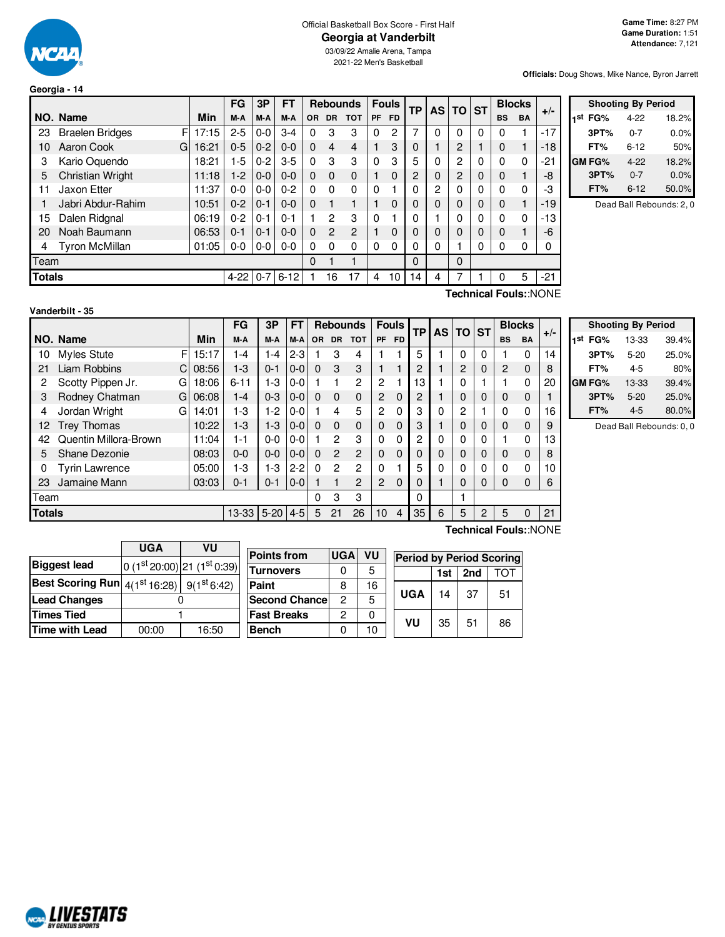

**Georgia - 14**

#### Official Basketball Box Score - First Half **Georgia at Vanderbilt**

03/09/22 Amalie Arena, Tampa 2021-22 Men's Basketball

**Officials:** Doug Shows, Mike Nance, Byron Jarrett

|      |                                                |       | FG      | 3P      | FT      | <b>Rebounds</b> |                |            | <b>Fouls</b> | <b>TP</b> | AS I     | <b>TO</b> | <b>ST</b>      |   | <b>Blocks</b> | $+/-$     |       |
|------|------------------------------------------------|-------|---------|---------|---------|-----------------|----------------|------------|--------------|-----------|----------|-----------|----------------|---|---------------|-----------|-------|
|      | NO. Name                                       | Min   | M-A     | M-A     | M-A     | <b>OR</b>       | <b>DR</b>      | <b>TOT</b> | <b>PF</b>    | <b>FD</b> |          |           |                |   | <b>BS</b>     | <b>BA</b> |       |
| 23   | F<br><b>Braelen Bridges</b>                    | 17:15 | $2 - 5$ | $0 - 0$ | $3 - 4$ | 0               | 3              | 3          | $\Omega$     | 2         | 7        | 0         | 0              | 0 | 0             |           | $-17$ |
| 10   | Aaron Cook<br>G                                | 16:21 | $0 - 5$ | $0 - 2$ | $0 - 0$ | 0               | 4              | 4          |              | 3         | 0        |           | $\overline{2}$ |   | 0             |           | $-18$ |
| 3    | Kario Oquendo                                  | 18:21 | $1-5$   | $0 - 2$ | $3-5$   | $\Omega$        | 3              | 3          | $\Omega$     | 3         | 5        | 0         | 2              | 0 | 0             | 0         | $-21$ |
| 5    | <b>Christian Wright</b>                        | 11:18 | $1-2$   | $0 - 0$ | $0 - 0$ | 0               | 0              | 0          |              | 0         | 2        | 0         | $\overline{2}$ | 0 | 0             |           | -8    |
| 11   | Jaxon Etter                                    | 11:37 | $0 - 0$ | $0-0$   | $0 - 2$ | 0               | 0              | 0          | 0            |           | 0        | 2         | 0              | 0 | $\Omega$      | 0         | -3    |
|      | Jabri Abdur-Rahim                              | 10:51 | $0 - 2$ | $0 - 1$ | $0 - 0$ | 0               |                |            |              | 0         |          |           | 0              | 0 | 0             |           | $-19$ |
| 15   | Dalen Ridgnal                                  | 06:19 | $0 - 2$ | $0 - 1$ | $0 - 1$ |                 | 2              | 3          | $\mathbf{0}$ |           | 0        |           | 0              | 0 | $\Omega$      | 0         | $-13$ |
| 20   | Noah Baumann                                   | 06:53 | $0 - 1$ | $0 - 1$ | $0 - 0$ | 0               | $\overline{2}$ | 2          |              | 0         |          | 0         | 0              | 0 | 0             |           | -6    |
| 4    | <b>Tyron McMillan</b>                          | 01:05 | $0-0$   | $0-0$   | $0 - 0$ | 0               | 0              | 0          | $\Omega$     | 0         | 0        | 0         |                | 0 | 0             | 0         | 0     |
| Team |                                                |       |         |         |         | 0               |                |            |              |           | $\Omega$ |           | 0              |   |               |           |       |
|      | <b>Totals</b><br>$0 - 7$<br>$4-22$<br>$6 - 12$ |       |         |         |         |                 | 16             | 17         | 4            | 10        | 14       | 4         | 7              |   | 0             | 5         | $-21$ |
|      | <b>Technical Fouls::NONE</b>                   |       |         |         |         |                 |                |            |              |           |          |           |                |   |               |           |       |

| <b>Shooting By Period</b> |                     |          |       |  |  |  |  |  |  |  |  |  |  |
|---------------------------|---------------------|----------|-------|--|--|--|--|--|--|--|--|--|--|
|                           | 1 <sup>st</sup> FG% | $4 - 22$ | 18.2% |  |  |  |  |  |  |  |  |  |  |
|                           | 3PT%                | $0 - 7$  | 0.0%  |  |  |  |  |  |  |  |  |  |  |
|                           | FT%                 | 6-12     | 50%   |  |  |  |  |  |  |  |  |  |  |
|                           | <b>GM FG%</b>       | 4-22     | 18.2% |  |  |  |  |  |  |  |  |  |  |
|                           | 3PT%                | $0 - 7$  | 0.0%  |  |  |  |  |  |  |  |  |  |  |
|                           | FT%                 | $6 - 12$ | 50.0% |  |  |  |  |  |  |  |  |  |  |

Dead Ball Rebounds: 2, 0

| Vanderbilt - 35 |  |  |  |  |  |
|-----------------|--|--|--|--|--|
|-----------------|--|--|--|--|--|

|               |                        |    |       | FG        | 3Р       | FТ      |           | <b>Rebounds</b> |              | <b>Fouls</b> |           | <b>TP</b> | <b>AS</b> | <b>TO</b>      | <b>ST</b> | <b>Blocks</b> |             | $+/-$ |
|---------------|------------------------|----|-------|-----------|----------|---------|-----------|-----------------|--------------|--------------|-----------|-----------|-----------|----------------|-----------|---------------|-------------|-------|
|               | NO. Name               |    | Min   | M-A       | M-A      | M-A     | <b>OR</b> | <b>DR</b>       | <b>TOT</b>   | <b>PF</b>    | <b>FD</b> |           |           |                |           | <b>BS</b>     | <b>BA</b>   |       |
| 10            | <b>Myles Stute</b>     | F  | 15:17 | 1-4       | 1-4      | $2-3$   |           | 3               | 4            |              |           | 5         |           | 0              | 0         |               | 0           | 14    |
| 21            | Liam Robbins           | C. | 08:56 | $1 - 3$   | $0 - 1$  | $0 - 0$ | $\Omega$  | 3               | 3            |              |           | 2         |           | 2              | 0         | 2             | 0           | 8     |
| 2             | Scotty Pippen Jr.<br>G |    | 18:06 | $6 - 11$  | $1-3$    | 0-0     |           |                 | 2            | 2            |           | 13        |           | 0              |           |               | 0           | 20    |
| 3             | Rodney Chatman<br>G    |    | 06:08 | 1-4       | $0 - 3$  | $0 - 0$ | $\Omega$  | $\Omega$        | $\mathbf{0}$ | 2            | $\Omega$  | 2         |           | 0              | 0         | 0             | $\mathbf 0$ |       |
| 4             | Jordan Wright<br>G     |    | 14:01 | 1-3       | $1-2$    | $0-0$   |           | 4               | 5            | 2            | $\Omega$  | 3         | $\Omega$  | $\overline{2}$ |           |               | 0           | 16    |
| 12            | <b>Trey Thomas</b>     |    | 10:22 | $1-3$     | $1-3$    | $0 - 0$ | $\Omega$  | $\Omega$        | $\mathbf 0$  | 0            | $\Omega$  | 3         |           | 0              | 0         | 0             | 0           | 9     |
| 42            | Quentin Millora-Brown  |    | 11:04 | $1 - 1$   | $0-0$    | $0-0$   |           | 2               | 3            | 0            | $\Omega$  | 2         | $\Omega$  | 0              | 0         |               | 0           | 13    |
| 5             | Shane Dezonie          |    | 08:03 | 0-0       | $0 - 0$  | $0 - 0$ | 0         | $\overline{2}$  | 2            | 0            | $\Omega$  | $\Omega$  | $\Omega$  | 0              | 0         | 0             | 0           | 8     |
| 0             | <b>Tyrin Lawrence</b>  |    | 05:00 | 1-3       | $1-3$    | $2-2$   | $\Omega$  | $\mathcal{P}$   | 2            | 0            |           | 5         | $\Omega$  | 0              | 0         | 0             | $\Omega$    | 10    |
| 23            | Jamaine Mann           |    | 03:03 | 0-1       | $0 - 1$  | $0-0$   |           |                 | 2            | 2            | $\Omega$  | 0         |           | 0              | 0         | 0             | 0           | 6     |
| Team          |                        |    |       |           |          |         | 0         | 3               | 3            |              |           | $\Omega$  |           |                |           |               |             |       |
| <b>Totals</b> |                        |    |       | $13 - 33$ | $5 - 20$ | $4 - 5$ | 5         | 21              | 26           | 10           | 4         | 35        | 6         | 5              | 2         | 5             | 0           | 21    |

|            | <b>Shooting By Period</b> |       |
|------------|---------------------------|-------|
| 1st<br>FG% | 13-33                     | 39.4% |
| 3PT%       | $5 - 20$                  | 25.0% |
| FT%        | 4-5                       | 80%   |
| GM FG%     | 13-33                     | 39.4% |
| 3PT%       | $5 - 20$                  | 25.0% |
| FT%        | 4-5                       | 80.0% |

Dead Ball Rebounds: 0, 0

|                                                                            | UGA   | VU                           |                       |            |           |                                 |     |                 |    |
|----------------------------------------------------------------------------|-------|------------------------------|-----------------------|------------|-----------|---------------------------------|-----|-----------------|----|
|                                                                            |       |                              | <b>Points from</b>    | <b>UGA</b> | <b>VU</b> | <b>Period by Period Scoring</b> |     |                 |    |
| <b>Biggest lead</b>                                                        |       | $0(1st20:00)$ 21 $(1st0:39)$ | <b>Turnovers</b>      | 0          | 5         |                                 | 1st | 2 <sub>nd</sub> | וס |
| Best Scoring Run $\left 4(1^{\rm st}16:28)\right $ 9(1 <sup>st</sup> 6:42) |       |                              | Paint                 | 8          | 16        |                                 |     |                 |    |
| <b>Lead Changes</b>                                                        |       |                              | <b>Second Chancel</b> |            | 5         | <b>UGA</b>                      | 14  | -37             | 51 |
| Times Tied                                                                 |       |                              | <b>Fast Breaks</b>    | ົ          |           | VU                              |     | 51              |    |
| Time with Lead                                                             | 00:00 | 16:50                        | <b>Bench</b>          |            | 10        |                                 | 35  |                 | 86 |

 $\overline{\phantom{a}}$ 

**Technical Fouls:**:NONE

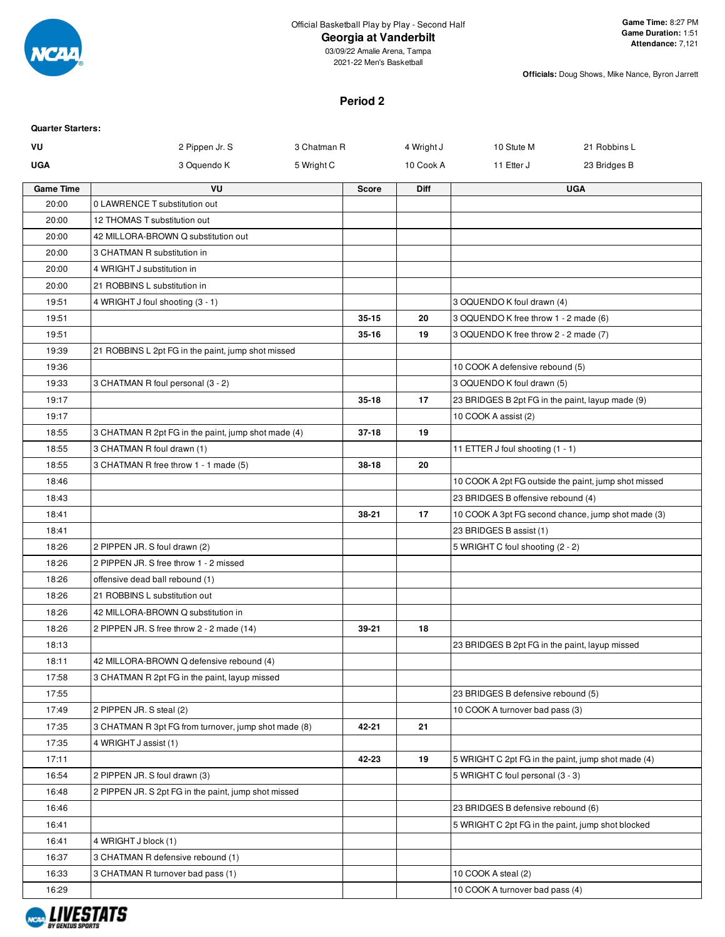

2021-22 Men's Basketball

**Officials:** Doug Shows, Mike Nance, Byron Jarrett

#### **Period 2**

| <b>Quarter Starters:</b> |                                                      |             |              |             |                                                    |                                                      |
|--------------------------|------------------------------------------------------|-------------|--------------|-------------|----------------------------------------------------|------------------------------------------------------|
| VU                       | 2 Pippen Jr. S                                       | 3 Chatman R |              | 4 Wright J  | 10 Stute M                                         | 21 Robbins L                                         |
| <b>UGA</b>               | 3 Oquendo K                                          | 5 Wright C  |              | 10 Cook A   | 11 Etter J                                         | 23 Bridges B                                         |
| <b>Game Time</b>         | VU                                                   |             | <b>Score</b> | <b>Diff</b> |                                                    | <b>UGA</b>                                           |
| 20:00                    | 0 LAWRENCE T substitution out                        |             |              |             |                                                    |                                                      |
| 20:00                    | 12 THOMAS T substitution out                         |             |              |             |                                                    |                                                      |
| 20:00                    | 42 MILLORA-BROWN Q substitution out                  |             |              |             |                                                    |                                                      |
| 20:00                    | 3 CHATMAN R substitution in                          |             |              |             |                                                    |                                                      |
| 20:00                    | 4 WRIGHT J substitution in                           |             |              |             |                                                    |                                                      |
| 20:00                    | 21 ROBBINS L substitution in                         |             |              |             |                                                    |                                                      |
| 19:51                    | 4 WRIGHT J foul shooting (3 - 1)                     |             |              |             | 3 OQUENDO K foul drawn (4)                         |                                                      |
| 19:51                    |                                                      |             | $35 - 15$    | 20          | 3 OQUENDO K free throw 1 - 2 made (6)              |                                                      |
| 19:51                    |                                                      |             | $35 - 16$    | 19          | 3 OQUENDO K free throw 2 - 2 made (7)              |                                                      |
| 19:39                    | 21 ROBBINS L 2pt FG in the paint, jump shot missed   |             |              |             |                                                    |                                                      |
| 19:36                    |                                                      |             |              |             | 10 COOK A defensive rebound (5)                    |                                                      |
| 19:33                    | 3 CHATMAN R foul personal (3 - 2)                    |             |              |             | 3 OQUENDO K foul drawn (5)                         |                                                      |
| 19:17                    |                                                      |             | $35 - 18$    | 17          | 23 BRIDGES B 2pt FG in the paint, layup made (9)   |                                                      |
| 19:17                    |                                                      |             |              |             | 10 COOK A assist (2)                               |                                                      |
| 18:55                    | 3 CHATMAN R 2pt FG in the paint, jump shot made (4)  |             | $37 - 18$    | 19          |                                                    |                                                      |
| 18:55                    | 3 CHATMAN R foul drawn (1)                           |             |              |             | 11 ETTER J foul shooting (1 - 1)                   |                                                      |
| 18:55                    | 3 CHATMAN R free throw 1 - 1 made (5)                |             | $38 - 18$    | 20          |                                                    |                                                      |
| 18:46                    |                                                      |             |              |             |                                                    | 10 COOK A 2pt FG outside the paint, jump shot missed |
| 18:43                    |                                                      |             |              |             | 23 BRIDGES B offensive rebound (4)                 |                                                      |
| 18:41                    |                                                      |             | 38-21        | 17          |                                                    | 10 COOK A 3pt FG second chance, jump shot made (3)   |
| 18:41                    |                                                      |             |              |             | 23 BRIDGES B assist (1)                            |                                                      |
| 18:26                    | 2 PIPPEN JR. S foul drawn (2)                        |             |              |             | 5 WRIGHT C foul shooting (2 - 2)                   |                                                      |
| 18:26                    | 2 PIPPEN JR. S free throw 1 - 2 missed               |             |              |             |                                                    |                                                      |
| 18:26                    | offensive dead ball rebound (1)                      |             |              |             |                                                    |                                                      |
| 18:26                    | 21 ROBBINS L substitution out                        |             |              |             |                                                    |                                                      |
| 18:26                    | 42 MILLORA-BROWN Q substitution in                   |             |              |             |                                                    |                                                      |
| 18:26                    | 2 PIPPEN JR. S free throw 2 - 2 made (14)            |             | 39-21        | 18          |                                                    |                                                      |
| 18:13                    |                                                      |             |              |             | 23 BRIDGES B 2pt FG in the paint, layup missed     |                                                      |
| 18:11                    | 42 MILLORA-BROWN Q defensive rebound (4)             |             |              |             |                                                    |                                                      |
| 17:58                    | 3 CHATMAN R 2pt FG in the paint, layup missed        |             |              |             |                                                    |                                                      |
| 17:55                    |                                                      |             |              |             | 23 BRIDGES B defensive rebound (5)                 |                                                      |
| 17:49                    | 2 PIPPEN JR. S steal (2)                             |             |              |             | 10 COOK A turnover bad pass (3)                    |                                                      |
| 17:35                    | 3 CHATMAN R 3pt FG from turnover, jump shot made (8) |             | 42-21        | 21          |                                                    |                                                      |
| 17:35                    | 4 WRIGHT J assist (1)                                |             |              |             |                                                    |                                                      |
| 17:11                    |                                                      |             | 42-23        | 19          | 5 WRIGHT C 2pt FG in the paint, jump shot made (4) |                                                      |
| 16:54                    | 2 PIPPEN JR. S foul drawn (3)                        |             |              |             | 5 WRIGHT C foul personal (3 - 3)                   |                                                      |
| 16:48                    | 2 PIPPEN JR. S 2pt FG in the paint, jump shot missed |             |              |             |                                                    |                                                      |
| 16:46                    |                                                      |             |              |             | 23 BRIDGES B defensive rebound (6)                 |                                                      |
| 16:41                    |                                                      |             |              |             | 5 WRIGHT C 2pt FG in the paint, jump shot blocked  |                                                      |
| 16:41                    | 4 WRIGHT J block (1)                                 |             |              |             |                                                    |                                                      |
| 16:37                    | 3 CHATMAN R defensive rebound (1)                    |             |              |             |                                                    |                                                      |
| 16:33                    | 3 CHATMAN R turnover bad pass (1)                    |             |              |             | 10 COOK A steal (2)                                |                                                      |
| 16:29                    |                                                      |             |              |             | 10 COOK A turnover bad pass (4)                    |                                                      |
|                          |                                                      |             |              |             |                                                    |                                                      |

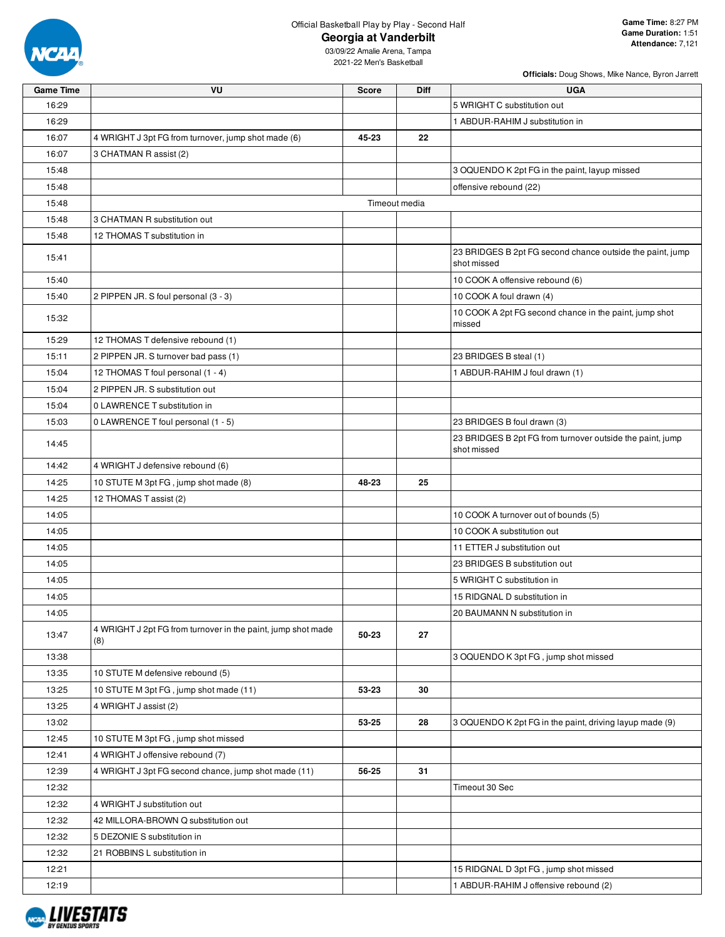

**Officials:** Doug Shows, Mike Nance, Byron Jarrett

| <b>Game Time</b> | VU                                                                  | <b>Score</b> | Diff          | <b>UGA</b>                                                               |
|------------------|---------------------------------------------------------------------|--------------|---------------|--------------------------------------------------------------------------|
| 16:29            |                                                                     |              |               | 5 WRIGHT C substitution out                                              |
| 16:29            |                                                                     |              |               | 1 ABDUR-RAHIM J substitution in                                          |
| 16:07            | 4 WRIGHT J 3pt FG from turnover, jump shot made (6)                 | 45-23        | 22            |                                                                          |
| 16:07            | 3 CHATMAN R assist (2)                                              |              |               |                                                                          |
| 15:48            |                                                                     |              |               | 3 OQUENDO K 2pt FG in the paint, layup missed                            |
| 15:48            |                                                                     |              |               | offensive rebound (22)                                                   |
| 15:48            |                                                                     |              | Timeout media |                                                                          |
| 15:48            | 3 CHATMAN R substitution out                                        |              |               |                                                                          |
| 15:48            | 12 THOMAS T substitution in                                         |              |               |                                                                          |
| 15:41            |                                                                     |              |               | 23 BRIDGES B 2pt FG second chance outside the paint, jump<br>shot missed |
| 15:40            |                                                                     |              |               | 10 COOK A offensive rebound (6)                                          |
| 15:40            | 2 PIPPEN JR. S foul personal (3 - 3)                                |              |               | 10 COOK A foul drawn (4)                                                 |
| 15:32            |                                                                     |              |               | 10 COOK A 2pt FG second chance in the paint, jump shot<br>missed         |
| 15:29            | 12 THOMAS T defensive rebound (1)                                   |              |               |                                                                          |
| 15:11            | 2 PIPPEN JR. S turnover bad pass (1)                                |              |               | 23 BRIDGES B steal (1)                                                   |
| 15:04            | 12 THOMAS T foul personal (1 - 4)                                   |              |               | 1 ABDUR-RAHIM J foul drawn (1)                                           |
| 15:04            | 2 PIPPEN JR. S substitution out                                     |              |               |                                                                          |
| 15:04            | 0 LAWRENCE T substitution in                                        |              |               |                                                                          |
| 15:03            | 0 LAWRENCE T foul personal (1 - 5)                                  |              |               | 23 BRIDGES B foul drawn (3)                                              |
| 14:45            |                                                                     |              |               | 23 BRIDGES B 2pt FG from turnover outside the paint, jump<br>shot missed |
| 14:42            | 4 WRIGHT J defensive rebound (6)                                    |              |               |                                                                          |
| 14:25            | 10 STUTE M 3pt FG, jump shot made (8)                               | 48-23        | 25            |                                                                          |
| 14:25            | 12 THOMAS T assist (2)                                              |              |               |                                                                          |
| 14:05            |                                                                     |              |               | 10 COOK A turnover out of bounds (5)                                     |
| 14:05            |                                                                     |              |               | 10 COOK A substitution out                                               |
| 14:05            |                                                                     |              |               | 11 ETTER J substitution out                                              |
| 14:05            |                                                                     |              |               | 23 BRIDGES B substitution out                                            |
| 14:05            |                                                                     |              |               | 5 WRIGHT C substitution in                                               |
| 14:05            |                                                                     |              |               | 15 RIDGNAL D substitution in                                             |
| 14:05            |                                                                     |              |               | 20 BAUMANN N substitution in                                             |
| 13:47            | 4 WRIGHT J 2pt FG from turnover in the paint, jump shot made<br>(8) | 50-23        | 27            |                                                                          |
| 13:38            |                                                                     |              |               | 3 OQUENDO K 3pt FG, jump shot missed                                     |
| 13:35            | 10 STUTE M defensive rebound (5)                                    |              |               |                                                                          |
| 13:25            | 10 STUTE M 3pt FG, jump shot made (11)                              | 53-23        | 30            |                                                                          |
| 13:25            | 4 WRIGHT J assist (2)                                               |              |               |                                                                          |
| 13:02            |                                                                     | 53-25        | 28            | 3 OQUENDO K 2pt FG in the paint, driving layup made (9)                  |
| 12:45            | 10 STUTE M 3pt FG, jump shot missed                                 |              |               |                                                                          |
| 12:41            | 4 WRIGHT J offensive rebound (7)                                    |              |               |                                                                          |
| 12:39            | 4 WRIGHT J 3pt FG second chance, jump shot made (11)                | 56-25        | 31            |                                                                          |
| 12:32            |                                                                     |              |               | Timeout 30 Sec                                                           |
| 12:32            | 4 WRIGHT J substitution out                                         |              |               |                                                                          |
| 12:32            | 42 MILLORA-BROWN Q substitution out                                 |              |               |                                                                          |
| 12:32            | 5 DEZONIE S substitution in                                         |              |               |                                                                          |
| 12:32            | 21 ROBBINS L substitution in                                        |              |               |                                                                          |
| 12:21            |                                                                     |              |               | 15 RIDGNAL D 3pt FG, jump shot missed                                    |
| 12:19            |                                                                     |              |               | 1 ABDUR-RAHIM J offensive rebound (2)                                    |

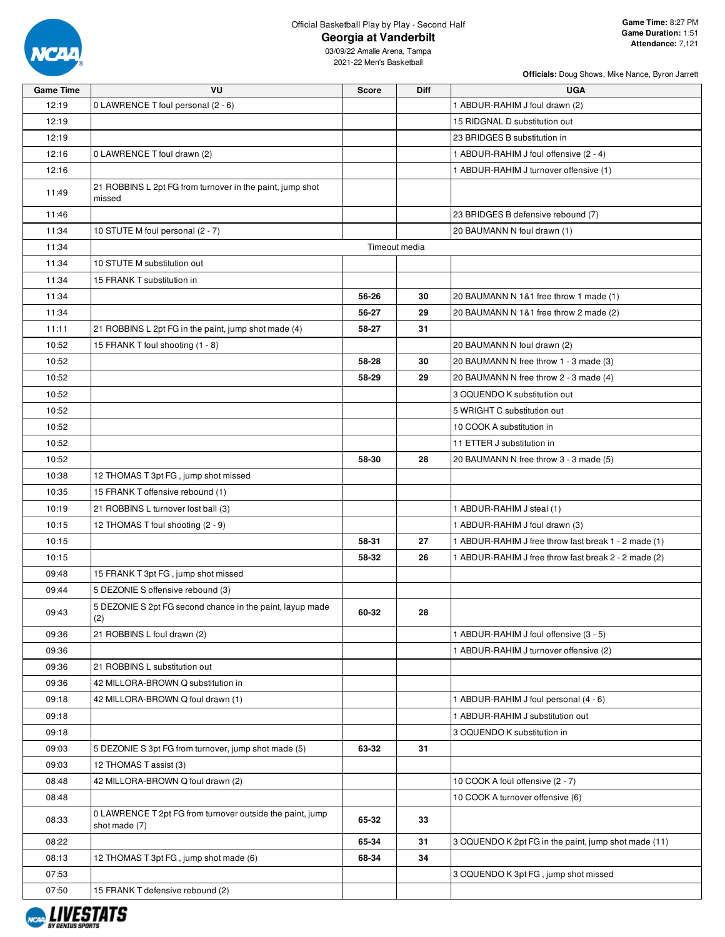

**Officials:** Doug Shows, Mike Nance, Byron Jarrett

| <b>Game Time</b> | VU                                                                         | <b>Score</b>  | Diff | <b>UGA</b>                                           |
|------------------|----------------------------------------------------------------------------|---------------|------|------------------------------------------------------|
| 12:19            | 0 LAWRENCE T foul personal (2 - 6)                                         |               |      | 1 ABDUR-RAHIM J foul drawn (2)                       |
| 12:19            |                                                                            |               |      | 15 RIDGNAL D substitution out                        |
| 12:19            |                                                                            |               |      | 23 BRIDGES B substitution in                         |
| 12:16            | 0 LAWRENCE T foul drawn (2)                                                |               |      | 1 ABDUR-RAHIM J foul offensive (2 - 4)               |
| 12:16            |                                                                            |               |      | 1 ABDUR-RAHIM J turnover offensive (1)               |
| 11:49            | 21 ROBBINS L 2pt FG from turnover in the paint, jump shot<br>missed        |               |      |                                                      |
| 11:46            |                                                                            |               |      | 23 BRIDGES B defensive rebound (7)                   |
| 11:34            | 10 STUTE M foul personal (2 - 7)                                           |               |      | 20 BAUMANN N foul drawn (1)                          |
| 11:34            |                                                                            | Timeout media |      |                                                      |
| 11:34            | 10 STUTE M substitution out                                                |               |      |                                                      |
| 11:34            | 15 FRANK T substitution in                                                 |               |      |                                                      |
| 11:34            |                                                                            | 56-26         | 30   | 20 BAUMANN N 1&1 free throw 1 made (1)               |
| 11:34            |                                                                            | 56-27         | 29   | 20 BAUMANN N 1&1 free throw 2 made (2)               |
| 11:11            | 21 ROBBINS L 2pt FG in the paint, jump shot made (4)                       | 58-27         | 31   |                                                      |
| 10:52            | 15 FRANK T foul shooting (1 - 8)                                           |               |      | 20 BAUMANN N foul drawn (2)                          |
| 10:52            |                                                                            | 58-28         | 30   | 20 BAUMANN N free throw 1 - 3 made (3)               |
| 10:52            |                                                                            | 58-29         | 29   | 20 BAUMANN N free throw 2 - 3 made (4)               |
| 10:52            |                                                                            |               |      | 3 OQUENDO K substitution out                         |
| 10:52            |                                                                            |               |      | 5 WRIGHT C substitution out                          |
| 10:52            |                                                                            |               |      | 10 COOK A substitution in                            |
| 10:52            |                                                                            |               |      | 11 ETTER J substitution in                           |
| 10:52            |                                                                            | 58-30         | 28   | 20 BAUMANN N free throw 3 - 3 made (5)               |
| 10:38            | 12 THOMAS T 3pt FG, jump shot missed                                       |               |      |                                                      |
| 10:35            | 15 FRANK T offensive rebound (1)                                           |               |      |                                                      |
| 10:19            | 21 ROBBINS L turnover lost ball (3)                                        |               |      | 1 ABDUR-RAHIM J steal (1)                            |
| 10:15            | 12 THOMAS T foul shooting (2 - 9)                                          |               |      | 1 ABDUR-RAHIM J foul drawn (3)                       |
| 10:15            |                                                                            | 58-31         | 27   | 1 ABDUR-RAHIM J free throw fast break 1 - 2 made (1) |
| 10:15            |                                                                            | 58-32         | 26   | 1 ABDUR-RAHIM J free throw fast break 2 - 2 made (2) |
| 09:48            | 15 FRANK T 3pt FG, jump shot missed                                        |               |      |                                                      |
| 09:44            | 5 DEZONIE S offensive rebound (3)                                          |               |      |                                                      |
| 09:43            | 5 DEZONIE S 2pt FG second chance in the paint, layup made<br>(2)           | 60-32         | 28   |                                                      |
| 09:36            | 21 ROBBINS L foul drawn (2)                                                |               |      | 1 ABDUR-RAHIM J foul offensive (3 - 5)               |
| 09:36            |                                                                            |               |      | 1 ABDUR-RAHIM J turnover offensive (2)               |
| 09:36            | 21 ROBBINS L substitution out                                              |               |      |                                                      |
| 09:36            | 42 MILLORA-BROWN Q substitution in                                         |               |      |                                                      |
| 09:18            | 42 MILLORA-BROWN Q foul drawn (1)                                          |               |      | 1 ABDUR-RAHIM J foul personal (4 - 6)                |
| 09:18            |                                                                            |               |      | 1 ABDUR-RAHIM J substitution out                     |
| 09:18            |                                                                            |               |      | 3 OQUENDO K substitution in                          |
| 09:03            | 5 DEZONIE S 3pt FG from turnover, jump shot made (5)                       | 63-32         | 31   |                                                      |
| 09:03            | 12 THOMAS T assist (3)                                                     |               |      |                                                      |
| 08:48            | 42 MILLORA-BROWN Q foul drawn (2)                                          |               |      | 10 COOK A foul offensive (2 - 7)                     |
| 08:48            |                                                                            |               |      | 10 COOK A turnover offensive (6)                     |
| 08:33            | 0 LAWRENCE T 2pt FG from turnover outside the paint, jump<br>shot made (7) | 65-32         | 33   |                                                      |
| 08:22            |                                                                            | 65-34         | 31   | 3 OQUENDO K 2pt FG in the paint, jump shot made (11) |
| 08:13            | 12 THOMAS T 3pt FG, jump shot made (6)                                     | 68-34         | 34   |                                                      |
| 07:53            |                                                                            |               |      | 3 OQUENDO K 3pt FG, jump shot missed                 |
| 07:50            | 15 FRANK T defensive rebound (2)                                           |               |      |                                                      |

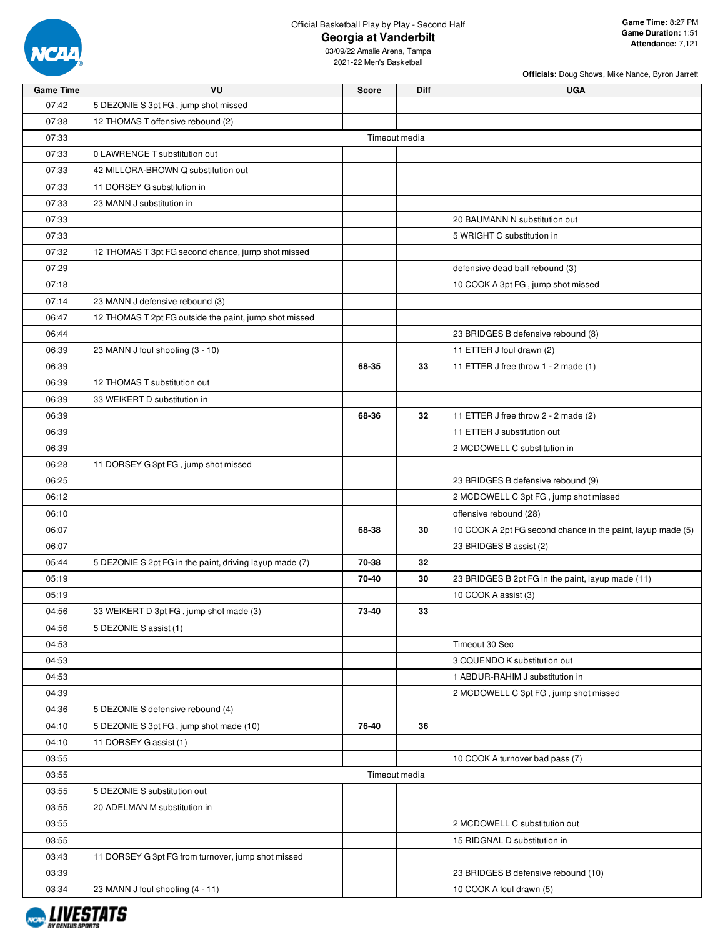

**Officials:** Doug Shows, Mike Nance, Byron Jarrett

| 07:42<br>5 DEZONIE S 3pt FG, jump shot missed<br>07:38<br>12 THOMAS T offensive rebound (2)<br>07:33<br>Timeout media<br>07:33<br>0 LAWRENCE T substitution out<br>07:33<br>42 MILLORA-BROWN Q substitution out<br>07:33<br>11 DORSEY G substitution in<br>07:33<br>23 MANN J substitution in<br>07:33<br>20 BAUMANN N substitution out<br>07:33<br>5 WRIGHT C substitution in<br>07:32<br>12 THOMAS T 3pt FG second chance, jump shot missed<br>07:29<br>defensive dead ball rebound (3)<br>10 COOK A 3pt FG, jump shot missed<br>07:18<br>07:14<br>23 MANN J defensive rebound (3)<br>06:47<br>12 THOMAS T 2pt FG outside the paint, jump shot missed<br>06:44<br>23 BRIDGES B defensive rebound (8)<br>06:39<br>23 MANN J foul shooting (3 - 10)<br>11 ETTER J foul drawn (2)<br>06:39<br>68-35<br>33<br>11 ETTER J free throw 1 - 2 made (1)<br>06:39<br>12 THOMAS T substitution out<br>33 WEIKERT D substitution in<br>06:39<br>68-36<br>32<br>06:39<br>11 ETTER J free throw 2 - 2 made (2)<br>11 ETTER J substitution out<br>06:39<br>06:39<br>2 MCDOWELL C substitution in<br>06:28<br>11 DORSEY G 3pt FG, jump shot missed<br>06:25<br>23 BRIDGES B defensive rebound (9)<br>06:12<br>2 MCDOWELL C 3pt FG, jump shot missed<br>06:10<br>offensive rebound (28)<br>30<br>10 COOK A 2pt FG second chance in the paint, layup made (5)<br>06:07<br>68-38<br>06:07<br>23 BRIDGES B assist (2)<br>70-38<br>05:44<br>5 DEZONIE S 2pt FG in the paint, driving layup made (7)<br>32<br>05:19<br>70-40<br>30<br>23 BRIDGES B 2pt FG in the paint, layup made (11)<br>10 COOK A assist (3)<br>05:19<br>33 WEIKERT D 3pt FG, jump shot made (3)<br>73-40<br>04:56<br>33<br>04:56<br>5 DEZONIE S assist (1)<br>Timeout 30 Sec<br>04:53<br>3 OQUENDO K substitution out<br>04:53<br>04:53<br>1 ABDUR-RAHIM J substitution in<br>04:39<br>2 MCDOWELL C 3pt FG, jump shot missed<br>04:36<br>5 DEZONIE S defensive rebound (4)<br>5 DEZONIE S 3pt FG, jump shot made (10)<br>04:10<br>76-40<br>36<br>04:10<br>11 DORSEY G assist (1)<br>03:55<br>10 COOK A turnover bad pass (7)<br>Timeout media | <b>Game Time</b> | VU | <b>Score</b> | Diff | <b>UGA</b> |
|-----------------------------------------------------------------------------------------------------------------------------------------------------------------------------------------------------------------------------------------------------------------------------------------------------------------------------------------------------------------------------------------------------------------------------------------------------------------------------------------------------------------------------------------------------------------------------------------------------------------------------------------------------------------------------------------------------------------------------------------------------------------------------------------------------------------------------------------------------------------------------------------------------------------------------------------------------------------------------------------------------------------------------------------------------------------------------------------------------------------------------------------------------------------------------------------------------------------------------------------------------------------------------------------------------------------------------------------------------------------------------------------------------------------------------------------------------------------------------------------------------------------------------------------------------------------------------------------------------------------------------------------------------------------------------------------------------------------------------------------------------------------------------------------------------------------------------------------------------------------------------------------------------------------------------------------------------------------------------------------------------------------------------------------------------------------------------------------------|------------------|----|--------------|------|------------|
|                                                                                                                                                                                                                                                                                                                                                                                                                                                                                                                                                                                                                                                                                                                                                                                                                                                                                                                                                                                                                                                                                                                                                                                                                                                                                                                                                                                                                                                                                                                                                                                                                                                                                                                                                                                                                                                                                                                                                                                                                                                                                               |                  |    |              |      |            |
|                                                                                                                                                                                                                                                                                                                                                                                                                                                                                                                                                                                                                                                                                                                                                                                                                                                                                                                                                                                                                                                                                                                                                                                                                                                                                                                                                                                                                                                                                                                                                                                                                                                                                                                                                                                                                                                                                                                                                                                                                                                                                               |                  |    |              |      |            |
|                                                                                                                                                                                                                                                                                                                                                                                                                                                                                                                                                                                                                                                                                                                                                                                                                                                                                                                                                                                                                                                                                                                                                                                                                                                                                                                                                                                                                                                                                                                                                                                                                                                                                                                                                                                                                                                                                                                                                                                                                                                                                               |                  |    |              |      |            |
|                                                                                                                                                                                                                                                                                                                                                                                                                                                                                                                                                                                                                                                                                                                                                                                                                                                                                                                                                                                                                                                                                                                                                                                                                                                                                                                                                                                                                                                                                                                                                                                                                                                                                                                                                                                                                                                                                                                                                                                                                                                                                               |                  |    |              |      |            |
|                                                                                                                                                                                                                                                                                                                                                                                                                                                                                                                                                                                                                                                                                                                                                                                                                                                                                                                                                                                                                                                                                                                                                                                                                                                                                                                                                                                                                                                                                                                                                                                                                                                                                                                                                                                                                                                                                                                                                                                                                                                                                               |                  |    |              |      |            |
|                                                                                                                                                                                                                                                                                                                                                                                                                                                                                                                                                                                                                                                                                                                                                                                                                                                                                                                                                                                                                                                                                                                                                                                                                                                                                                                                                                                                                                                                                                                                                                                                                                                                                                                                                                                                                                                                                                                                                                                                                                                                                               |                  |    |              |      |            |
|                                                                                                                                                                                                                                                                                                                                                                                                                                                                                                                                                                                                                                                                                                                                                                                                                                                                                                                                                                                                                                                                                                                                                                                                                                                                                                                                                                                                                                                                                                                                                                                                                                                                                                                                                                                                                                                                                                                                                                                                                                                                                               |                  |    |              |      |            |
|                                                                                                                                                                                                                                                                                                                                                                                                                                                                                                                                                                                                                                                                                                                                                                                                                                                                                                                                                                                                                                                                                                                                                                                                                                                                                                                                                                                                                                                                                                                                                                                                                                                                                                                                                                                                                                                                                                                                                                                                                                                                                               |                  |    |              |      |            |
|                                                                                                                                                                                                                                                                                                                                                                                                                                                                                                                                                                                                                                                                                                                                                                                                                                                                                                                                                                                                                                                                                                                                                                                                                                                                                                                                                                                                                                                                                                                                                                                                                                                                                                                                                                                                                                                                                                                                                                                                                                                                                               |                  |    |              |      |            |
|                                                                                                                                                                                                                                                                                                                                                                                                                                                                                                                                                                                                                                                                                                                                                                                                                                                                                                                                                                                                                                                                                                                                                                                                                                                                                                                                                                                                                                                                                                                                                                                                                                                                                                                                                                                                                                                                                                                                                                                                                                                                                               |                  |    |              |      |            |
|                                                                                                                                                                                                                                                                                                                                                                                                                                                                                                                                                                                                                                                                                                                                                                                                                                                                                                                                                                                                                                                                                                                                                                                                                                                                                                                                                                                                                                                                                                                                                                                                                                                                                                                                                                                                                                                                                                                                                                                                                                                                                               |                  |    |              |      |            |
|                                                                                                                                                                                                                                                                                                                                                                                                                                                                                                                                                                                                                                                                                                                                                                                                                                                                                                                                                                                                                                                                                                                                                                                                                                                                                                                                                                                                                                                                                                                                                                                                                                                                                                                                                                                                                                                                                                                                                                                                                                                                                               |                  |    |              |      |            |
|                                                                                                                                                                                                                                                                                                                                                                                                                                                                                                                                                                                                                                                                                                                                                                                                                                                                                                                                                                                                                                                                                                                                                                                                                                                                                                                                                                                                                                                                                                                                                                                                                                                                                                                                                                                                                                                                                                                                                                                                                                                                                               |                  |    |              |      |            |
|                                                                                                                                                                                                                                                                                                                                                                                                                                                                                                                                                                                                                                                                                                                                                                                                                                                                                                                                                                                                                                                                                                                                                                                                                                                                                                                                                                                                                                                                                                                                                                                                                                                                                                                                                                                                                                                                                                                                                                                                                                                                                               |                  |    |              |      |            |
|                                                                                                                                                                                                                                                                                                                                                                                                                                                                                                                                                                                                                                                                                                                                                                                                                                                                                                                                                                                                                                                                                                                                                                                                                                                                                                                                                                                                                                                                                                                                                                                                                                                                                                                                                                                                                                                                                                                                                                                                                                                                                               |                  |    |              |      |            |
|                                                                                                                                                                                                                                                                                                                                                                                                                                                                                                                                                                                                                                                                                                                                                                                                                                                                                                                                                                                                                                                                                                                                                                                                                                                                                                                                                                                                                                                                                                                                                                                                                                                                                                                                                                                                                                                                                                                                                                                                                                                                                               |                  |    |              |      |            |
|                                                                                                                                                                                                                                                                                                                                                                                                                                                                                                                                                                                                                                                                                                                                                                                                                                                                                                                                                                                                                                                                                                                                                                                                                                                                                                                                                                                                                                                                                                                                                                                                                                                                                                                                                                                                                                                                                                                                                                                                                                                                                               |                  |    |              |      |            |
|                                                                                                                                                                                                                                                                                                                                                                                                                                                                                                                                                                                                                                                                                                                                                                                                                                                                                                                                                                                                                                                                                                                                                                                                                                                                                                                                                                                                                                                                                                                                                                                                                                                                                                                                                                                                                                                                                                                                                                                                                                                                                               |                  |    |              |      |            |
|                                                                                                                                                                                                                                                                                                                                                                                                                                                                                                                                                                                                                                                                                                                                                                                                                                                                                                                                                                                                                                                                                                                                                                                                                                                                                                                                                                                                                                                                                                                                                                                                                                                                                                                                                                                                                                                                                                                                                                                                                                                                                               |                  |    |              |      |            |
|                                                                                                                                                                                                                                                                                                                                                                                                                                                                                                                                                                                                                                                                                                                                                                                                                                                                                                                                                                                                                                                                                                                                                                                                                                                                                                                                                                                                                                                                                                                                                                                                                                                                                                                                                                                                                                                                                                                                                                                                                                                                                               |                  |    |              |      |            |
|                                                                                                                                                                                                                                                                                                                                                                                                                                                                                                                                                                                                                                                                                                                                                                                                                                                                                                                                                                                                                                                                                                                                                                                                                                                                                                                                                                                                                                                                                                                                                                                                                                                                                                                                                                                                                                                                                                                                                                                                                                                                                               |                  |    |              |      |            |
|                                                                                                                                                                                                                                                                                                                                                                                                                                                                                                                                                                                                                                                                                                                                                                                                                                                                                                                                                                                                                                                                                                                                                                                                                                                                                                                                                                                                                                                                                                                                                                                                                                                                                                                                                                                                                                                                                                                                                                                                                                                                                               |                  |    |              |      |            |
|                                                                                                                                                                                                                                                                                                                                                                                                                                                                                                                                                                                                                                                                                                                                                                                                                                                                                                                                                                                                                                                                                                                                                                                                                                                                                                                                                                                                                                                                                                                                                                                                                                                                                                                                                                                                                                                                                                                                                                                                                                                                                               |                  |    |              |      |            |
|                                                                                                                                                                                                                                                                                                                                                                                                                                                                                                                                                                                                                                                                                                                                                                                                                                                                                                                                                                                                                                                                                                                                                                                                                                                                                                                                                                                                                                                                                                                                                                                                                                                                                                                                                                                                                                                                                                                                                                                                                                                                                               |                  |    |              |      |            |
|                                                                                                                                                                                                                                                                                                                                                                                                                                                                                                                                                                                                                                                                                                                                                                                                                                                                                                                                                                                                                                                                                                                                                                                                                                                                                                                                                                                                                                                                                                                                                                                                                                                                                                                                                                                                                                                                                                                                                                                                                                                                                               |                  |    |              |      |            |
|                                                                                                                                                                                                                                                                                                                                                                                                                                                                                                                                                                                                                                                                                                                                                                                                                                                                                                                                                                                                                                                                                                                                                                                                                                                                                                                                                                                                                                                                                                                                                                                                                                                                                                                                                                                                                                                                                                                                                                                                                                                                                               |                  |    |              |      |            |
|                                                                                                                                                                                                                                                                                                                                                                                                                                                                                                                                                                                                                                                                                                                                                                                                                                                                                                                                                                                                                                                                                                                                                                                                                                                                                                                                                                                                                                                                                                                                                                                                                                                                                                                                                                                                                                                                                                                                                                                                                                                                                               |                  |    |              |      |            |
|                                                                                                                                                                                                                                                                                                                                                                                                                                                                                                                                                                                                                                                                                                                                                                                                                                                                                                                                                                                                                                                                                                                                                                                                                                                                                                                                                                                                                                                                                                                                                                                                                                                                                                                                                                                                                                                                                                                                                                                                                                                                                               |                  |    |              |      |            |
|                                                                                                                                                                                                                                                                                                                                                                                                                                                                                                                                                                                                                                                                                                                                                                                                                                                                                                                                                                                                                                                                                                                                                                                                                                                                                                                                                                                                                                                                                                                                                                                                                                                                                                                                                                                                                                                                                                                                                                                                                                                                                               |                  |    |              |      |            |
|                                                                                                                                                                                                                                                                                                                                                                                                                                                                                                                                                                                                                                                                                                                                                                                                                                                                                                                                                                                                                                                                                                                                                                                                                                                                                                                                                                                                                                                                                                                                                                                                                                                                                                                                                                                                                                                                                                                                                                                                                                                                                               |                  |    |              |      |            |
|                                                                                                                                                                                                                                                                                                                                                                                                                                                                                                                                                                                                                                                                                                                                                                                                                                                                                                                                                                                                                                                                                                                                                                                                                                                                                                                                                                                                                                                                                                                                                                                                                                                                                                                                                                                                                                                                                                                                                                                                                                                                                               |                  |    |              |      |            |
|                                                                                                                                                                                                                                                                                                                                                                                                                                                                                                                                                                                                                                                                                                                                                                                                                                                                                                                                                                                                                                                                                                                                                                                                                                                                                                                                                                                                                                                                                                                                                                                                                                                                                                                                                                                                                                                                                                                                                                                                                                                                                               |                  |    |              |      |            |
|                                                                                                                                                                                                                                                                                                                                                                                                                                                                                                                                                                                                                                                                                                                                                                                                                                                                                                                                                                                                                                                                                                                                                                                                                                                                                                                                                                                                                                                                                                                                                                                                                                                                                                                                                                                                                                                                                                                                                                                                                                                                                               |                  |    |              |      |            |
|                                                                                                                                                                                                                                                                                                                                                                                                                                                                                                                                                                                                                                                                                                                                                                                                                                                                                                                                                                                                                                                                                                                                                                                                                                                                                                                                                                                                                                                                                                                                                                                                                                                                                                                                                                                                                                                                                                                                                                                                                                                                                               |                  |    |              |      |            |
|                                                                                                                                                                                                                                                                                                                                                                                                                                                                                                                                                                                                                                                                                                                                                                                                                                                                                                                                                                                                                                                                                                                                                                                                                                                                                                                                                                                                                                                                                                                                                                                                                                                                                                                                                                                                                                                                                                                                                                                                                                                                                               |                  |    |              |      |            |
|                                                                                                                                                                                                                                                                                                                                                                                                                                                                                                                                                                                                                                                                                                                                                                                                                                                                                                                                                                                                                                                                                                                                                                                                                                                                                                                                                                                                                                                                                                                                                                                                                                                                                                                                                                                                                                                                                                                                                                                                                                                                                               |                  |    |              |      |            |
|                                                                                                                                                                                                                                                                                                                                                                                                                                                                                                                                                                                                                                                                                                                                                                                                                                                                                                                                                                                                                                                                                                                                                                                                                                                                                                                                                                                                                                                                                                                                                                                                                                                                                                                                                                                                                                                                                                                                                                                                                                                                                               |                  |    |              |      |            |
|                                                                                                                                                                                                                                                                                                                                                                                                                                                                                                                                                                                                                                                                                                                                                                                                                                                                                                                                                                                                                                                                                                                                                                                                                                                                                                                                                                                                                                                                                                                                                                                                                                                                                                                                                                                                                                                                                                                                                                                                                                                                                               |                  |    |              |      |            |
|                                                                                                                                                                                                                                                                                                                                                                                                                                                                                                                                                                                                                                                                                                                                                                                                                                                                                                                                                                                                                                                                                                                                                                                                                                                                                                                                                                                                                                                                                                                                                                                                                                                                                                                                                                                                                                                                                                                                                                                                                                                                                               |                  |    |              |      |            |
|                                                                                                                                                                                                                                                                                                                                                                                                                                                                                                                                                                                                                                                                                                                                                                                                                                                                                                                                                                                                                                                                                                                                                                                                                                                                                                                                                                                                                                                                                                                                                                                                                                                                                                                                                                                                                                                                                                                                                                                                                                                                                               |                  |    |              |      |            |
|                                                                                                                                                                                                                                                                                                                                                                                                                                                                                                                                                                                                                                                                                                                                                                                                                                                                                                                                                                                                                                                                                                                                                                                                                                                                                                                                                                                                                                                                                                                                                                                                                                                                                                                                                                                                                                                                                                                                                                                                                                                                                               |                  |    |              |      |            |
|                                                                                                                                                                                                                                                                                                                                                                                                                                                                                                                                                                                                                                                                                                                                                                                                                                                                                                                                                                                                                                                                                                                                                                                                                                                                                                                                                                                                                                                                                                                                                                                                                                                                                                                                                                                                                                                                                                                                                                                                                                                                                               |                  |    |              |      |            |
|                                                                                                                                                                                                                                                                                                                                                                                                                                                                                                                                                                                                                                                                                                                                                                                                                                                                                                                                                                                                                                                                                                                                                                                                                                                                                                                                                                                                                                                                                                                                                                                                                                                                                                                                                                                                                                                                                                                                                                                                                                                                                               | 03:55            |    |              |      |            |
| 03:55<br>5 DEZONIE S substitution out                                                                                                                                                                                                                                                                                                                                                                                                                                                                                                                                                                                                                                                                                                                                                                                                                                                                                                                                                                                                                                                                                                                                                                                                                                                                                                                                                                                                                                                                                                                                                                                                                                                                                                                                                                                                                                                                                                                                                                                                                                                         |                  |    |              |      |            |
| 03:55<br>20 ADELMAN M substitution in                                                                                                                                                                                                                                                                                                                                                                                                                                                                                                                                                                                                                                                                                                                                                                                                                                                                                                                                                                                                                                                                                                                                                                                                                                                                                                                                                                                                                                                                                                                                                                                                                                                                                                                                                                                                                                                                                                                                                                                                                                                         |                  |    |              |      |            |
| 03:55<br>2 MCDOWELL C substitution out                                                                                                                                                                                                                                                                                                                                                                                                                                                                                                                                                                                                                                                                                                                                                                                                                                                                                                                                                                                                                                                                                                                                                                                                                                                                                                                                                                                                                                                                                                                                                                                                                                                                                                                                                                                                                                                                                                                                                                                                                                                        |                  |    |              |      |            |
| 03:55<br>15 RIDGNAL D substitution in                                                                                                                                                                                                                                                                                                                                                                                                                                                                                                                                                                                                                                                                                                                                                                                                                                                                                                                                                                                                                                                                                                                                                                                                                                                                                                                                                                                                                                                                                                                                                                                                                                                                                                                                                                                                                                                                                                                                                                                                                                                         |                  |    |              |      |            |
| 03:43<br>11 DORSEY G 3pt FG from turnover, jump shot missed                                                                                                                                                                                                                                                                                                                                                                                                                                                                                                                                                                                                                                                                                                                                                                                                                                                                                                                                                                                                                                                                                                                                                                                                                                                                                                                                                                                                                                                                                                                                                                                                                                                                                                                                                                                                                                                                                                                                                                                                                                   |                  |    |              |      |            |
| 03:39<br>23 BRIDGES B defensive rebound (10)                                                                                                                                                                                                                                                                                                                                                                                                                                                                                                                                                                                                                                                                                                                                                                                                                                                                                                                                                                                                                                                                                                                                                                                                                                                                                                                                                                                                                                                                                                                                                                                                                                                                                                                                                                                                                                                                                                                                                                                                                                                  |                  |    |              |      |            |
| 03:34<br>10 COOK A foul drawn (5)<br>23 MANN J foul shooting (4 - 11)                                                                                                                                                                                                                                                                                                                                                                                                                                                                                                                                                                                                                                                                                                                                                                                                                                                                                                                                                                                                                                                                                                                                                                                                                                                                                                                                                                                                                                                                                                                                                                                                                                                                                                                                                                                                                                                                                                                                                                                                                         |                  |    |              |      |            |

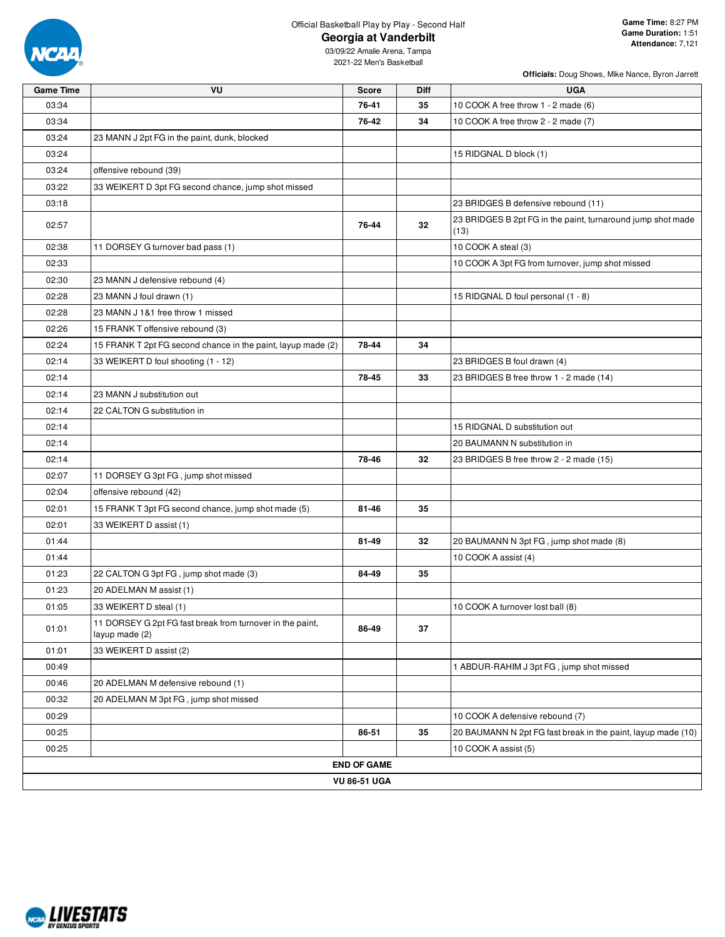

**Officials:** Doug Shows, Mike Nance, Byron Jarrett

| <b>Game Time</b> | VU                                                                          | <b>Score</b>        | Diff | <b>UGA</b>                                                          |
|------------------|-----------------------------------------------------------------------------|---------------------|------|---------------------------------------------------------------------|
| 03:34            |                                                                             | 76-41               | 35   | 10 COOK A free throw 1 - 2 made (6)                                 |
| 03:34            |                                                                             | 76-42               | 34   | 10 COOK A free throw 2 - 2 made (7)                                 |
| 03:24            | 23 MANN J 2pt FG in the paint, dunk, blocked                                |                     |      |                                                                     |
| 03:24            |                                                                             |                     |      | 15 RIDGNAL D block (1)                                              |
| 03:24            | offensive rebound (39)                                                      |                     |      |                                                                     |
| 03:22            | 33 WEIKERT D 3pt FG second chance, jump shot missed                         |                     |      |                                                                     |
| 03:18            |                                                                             |                     |      | 23 BRIDGES B defensive rebound (11)                                 |
| 02:57            |                                                                             | 76-44               | 32   | 23 BRIDGES B 2pt FG in the paint, turnaround jump shot made<br>(13) |
| 02:38            | 11 DORSEY G turnover bad pass (1)                                           |                     |      | 10 COOK A steal (3)                                                 |
| 02:33            |                                                                             |                     |      | 10 COOK A 3pt FG from turnover, jump shot missed                    |
| 02:30            | 23 MANN J defensive rebound (4)                                             |                     |      |                                                                     |
| 02:28            | 23 MANN J foul drawn (1)                                                    |                     |      | 15 RIDGNAL D foul personal (1 - 8)                                  |
| 02:28            | 23 MANN J 1&1 free throw 1 missed                                           |                     |      |                                                                     |
| 02:26            | 15 FRANK T offensive rebound (3)                                            |                     |      |                                                                     |
| 02:24            | 15 FRANK T 2pt FG second chance in the paint, layup made (2)                | 78-44               | 34   |                                                                     |
| 02:14            | 33 WEIKERT D foul shooting (1 - 12)                                         |                     |      | 23 BRIDGES B foul drawn (4)                                         |
| 02:14            |                                                                             | 78-45               | 33   | 23 BRIDGES B free throw 1 - 2 made (14)                             |
| 02:14            | 23 MANN J substitution out                                                  |                     |      |                                                                     |
| 02:14            | 22 CALTON G substitution in                                                 |                     |      |                                                                     |
| 02:14            |                                                                             |                     |      | 15 RIDGNAL D substitution out                                       |
| 02:14            |                                                                             |                     |      | 20 BAUMANN N substitution in                                        |
| 02:14            |                                                                             | 78-46               | 32   | 23 BRIDGES B free throw 2 - 2 made (15)                             |
| 02:07            | 11 DORSEY G 3pt FG, jump shot missed                                        |                     |      |                                                                     |
| 02:04            | offensive rebound (42)                                                      |                     |      |                                                                     |
| 02:01            | 15 FRANK T 3pt FG second chance, jump shot made (5)                         | 81-46               | 35   |                                                                     |
| 02:01            | 33 WEIKERT D assist (1)                                                     |                     |      |                                                                     |
| 01:44            |                                                                             | 81-49               | 32   | 20 BAUMANN N 3pt FG, jump shot made (8)                             |
| 01:44            |                                                                             |                     |      | 10 COOK A assist (4)                                                |
| 01:23            | 22 CALTON G 3pt FG, jump shot made (3)                                      | 84-49               | 35   |                                                                     |
| 01:23            | 20 ADELMAN M assist (1)                                                     |                     |      |                                                                     |
| 01:05            | 33 WEIKERT D steal (1)                                                      |                     |      | 10 COOK A turnover lost ball (8)                                    |
| 01:01            | 11 DORSEY G 2pt FG fast break from turnover in the paint,<br>layup made (2) | 86-49               | 37   |                                                                     |
| 01:01            | 33 WEIKERT D assist (2)                                                     |                     |      |                                                                     |
| 00:49            |                                                                             |                     |      | 1 ABDUR-RAHIM J 3pt FG, jump shot missed                            |
| 00:46            | 20 ADELMAN M defensive rebound (1)                                          |                     |      |                                                                     |
| 00:32            | 20 ADELMAN M 3pt FG, jump shot missed                                       |                     |      |                                                                     |
| 00:29            |                                                                             |                     |      | 10 COOK A defensive rebound (7)                                     |
| 00:25            |                                                                             | 86-51               | 35   | 20 BAUMANN N 2pt FG fast break in the paint, layup made (10)        |
| 00:25            |                                                                             |                     |      | 10 COOK A assist (5)                                                |
|                  |                                                                             | <b>END OF GAME</b>  |      |                                                                     |
|                  |                                                                             | <b>VU 86-51 UGA</b> |      |                                                                     |

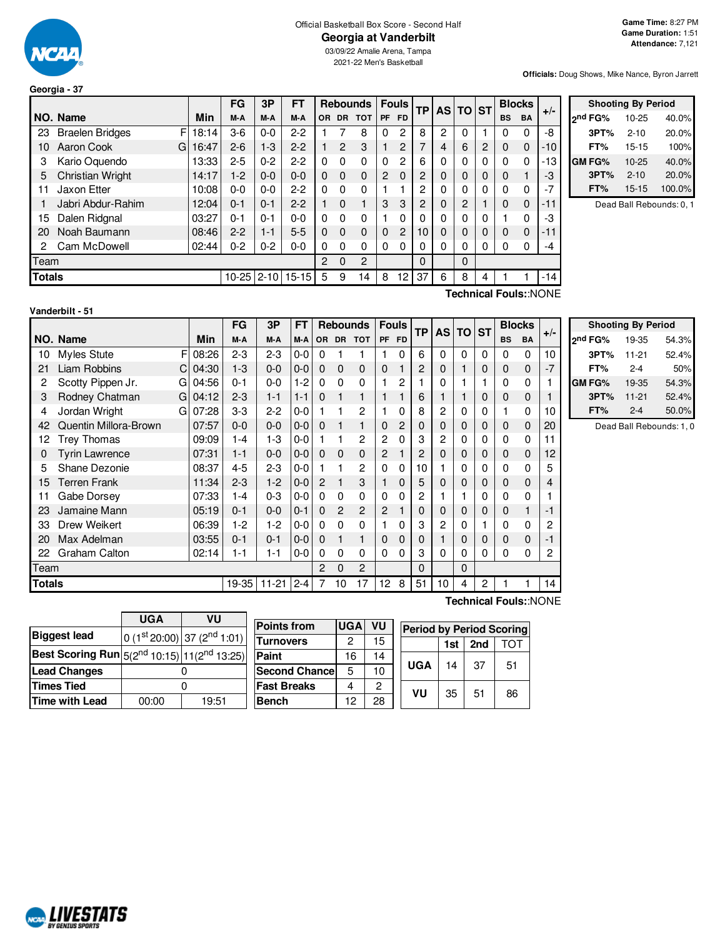

#### Official Basketball Box Score - Second Half **Georgia at Vanderbilt**

**Officials:** Doug Shows, Mike Nance, Byron Jarrett

|                                                     |                                                |            | FG      | 3P      | <b>FT</b> |                |                | <b>Rebounds</b> |           | <b>Fouls</b> | <b>TP</b>      |   | AS TO ST       |   |           | <b>Blocks</b> |       |
|-----------------------------------------------------|------------------------------------------------|------------|---------|---------|-----------|----------------|----------------|-----------------|-----------|--------------|----------------|---|----------------|---|-----------|---------------|-------|
|                                                     | NO. Name                                       | <b>Min</b> | M-A     | M-A     | M-A       | <b>OR</b>      | <b>DR</b>      | <b>TOT</b>      | <b>PF</b> | <b>FD</b>    |                |   |                |   | <b>BS</b> | <b>BA</b>     | $+/-$ |
| 23                                                  | <b>Braelen Bridges</b><br>F                    | 18:14      | $3-6$   | $0 - 0$ | $2 - 2$   |                |                | 8               | 0         | 2            | 8              | 2 | 0              |   | 0         | 0             | -8    |
| 10                                                  | Aaron Cook<br>G                                | 16:47      | $2 - 6$ | $1-3$   | $2 - 2$   |                | $\overline{2}$ | 3               |           | 2            |                | 4 | 6              | 2 | 0         | 0             | -10   |
| 3                                                   | Kario Oquendo                                  | 13:33      | $2 - 5$ | $0 - 2$ | $2 - 2$   | $\Omega$       | 0              | $\Omega$        | 0         | 2            | 6              | 0 | 0              | 0 | 0         | 0             | -13   |
| 5                                                   | <b>Christian Wright</b>                        | 14:17      | $1-2$   | $0 - 0$ | $0 - 0$   | $\Omega$       | $\Omega$       | $\mathbf 0$     | 2         | $\Omega$     | 2              | 0 | $\Omega$       | 0 | 0         |               | -3    |
| 11                                                  | Jaxon Etter                                    | 10:08      | $0-0$   | $0 - 0$ | $2-2$     | $\Omega$       | $\Omega$       | $\Omega$        |           |              | 2              | 0 | 0              | 0 | 0         | 0             | $-7$  |
|                                                     | Jabri Abdur-Rahim                              | 12:04      | $0 - 1$ | $0 - 1$ | $2 - 2$   |                | 0              | 1               | 3         | 3            | $\overline{c}$ | 0 | $\overline{2}$ |   | $\Omega$  | $\Omega$      | $-11$ |
| 15                                                  | Dalen Ridgnal                                  | 03:27      | $0 - 1$ | $0 - 1$ | $0 - 0$   | $\Omega$       | 0              | $\Omega$        |           | 0            | 0              | 0 | 0              | 0 |           | 0             | -3    |
| 20                                                  | Noah Baumann                                   | 08:46      | $2 - 2$ | $1 - 1$ | $5-5$     | 0              | $\Omega$       | $\Omega$        | 0         | 2            | 10             |   | $\Omega$       | 0 | 0         | $\Omega$      | $-11$ |
| 2                                                   | Cam McDowell                                   | 02:44      | $0 - 2$ | $0 - 2$ | $0-0$     | 0              | 0              | $\Omega$        | 0         | 0            |                | 0 | 0              | 0 | 0         | 0             | -4    |
| Team                                                |                                                |            |         |         |           | $\overline{2}$ | $\Omega$       | $\overline{c}$  |           |              | $\Omega$       |   | $\Omega$       |   |           |               |       |
| <b>Totals</b><br>$10 - 25$<br>$15 - 15$<br>$2 - 10$ |                                                |            |         |         |           | 5              | 9              | 14              | 8         | 12           | 37             | 6 | 8              | 4 |           |               | -14   |
|                                                     | $T$ aahniaal $T$ aulau $N$ $\cap$ $N$ $\Gamma$ |            |         |         |           |                |                |                 |           |              |                |   |                |   |           |               |       |

|               | <b>Shooting By Period</b> |        |
|---------------|---------------------------|--------|
| ond FG%       | 10-25                     | 40.0%  |
| 3PT%          | $2 - 10$                  | 20.0%  |
| FT%           | $15 - 15$                 | 100%   |
| <b>GM FG%</b> | $10 - 25$                 | 40.0%  |
| 3PT%          | $2 - 10$                  | 20.0%  |
| FT%           | $15 - 15$                 | 100.0% |

Dead Ball Rebounds: 0, 1

| Vanderbilt - 51 |  |
|-----------------|--|
|                 |  |

**Technical Fouls:**:NONE

|        |                        |            | FG      | 3P        | FT      |             |              | <b>Rebounds</b> | <b>Fouls</b>   |   | <b>TP</b><br><b>AS</b> |          | <b>TO</b> | <b>ST</b> |             | <b>Blocks</b> | $+/-$ |
|--------|------------------------|------------|---------|-----------|---------|-------------|--------------|-----------------|----------------|---|------------------------|----------|-----------|-----------|-------------|---------------|-------|
|        | NO. Name               | <b>Min</b> | M-A     | M-A       | $M-A$   |             |              | OR DR TOT       | PF FD          |   |                        |          |           |           | <b>BS</b>   | BA            |       |
| 10     | F<br>Myles Stute       | 08:26      | $2 - 3$ | $2 - 3$   | $0 - 0$ | 0           |              |                 |                | 0 | 6                      | $\Omega$ | 0         | 0         | 0           | 0             | 10    |
| 21     | Liam Robbins<br>C      | 04:30      | $1 - 3$ | $0 - 0$   | $0 - 0$ | 0           | $\Omega$     | 0               | 0              |   | 2                      | 0        | 1         | 0         | 0           | 0             | $-7$  |
| 2      | Scotty Pippen Jr.<br>G | 04:56      | $0 - 1$ | $0 - 0$   | $1 - 2$ | $\Omega$    | $\Omega$     | 0               |                | 2 |                        | 0        |           |           | 0           | 0             |       |
| 3      | Rodney Chatman<br>G    | 04:12      | $2 - 3$ | $1 - 1$   | $1 - 1$ | $\Omega$    |              | 1               |                |   | 6                      |          | 1         | 0         | $\mathbf 0$ | $\mathbf 0$   |       |
| 4      | Jordan Wright<br>G     | 07:28      | $3 - 3$ | $2 - 2$   | $0 - 0$ |             |              | 2               |                | 0 | 8                      | 2        | 0         | 0         |             | 0             | 10    |
| 42     | Quentin Millora-Brown  | 07:57      | $0 - 0$ | $0 - 0$   | $0-0$   | 0           |              | 1               | 0              | 2 | 0                      | 0        | 0         | 0         | 0           | 0             | 20    |
| 12     | Trey Thomas            | 09:09      | $1 - 4$ | $1 - 3$   | $0 - 0$ |             |              | 2               | $\overline{2}$ | 0 | 3                      | 2        | 0         | 0         | 0           | 0             | 11    |
| 0      | Tyrin Lawrence         | 07:31      | $1 - 1$ | $0 - 0$   | $0 - 0$ | 0           | 0            | 0               | 2              |   | 2                      | 0        | 0         | 0         | $\mathbf 0$ | $\mathbf 0$   | 12    |
| 5      | Shane Dezonie          | 08:37      | $4 - 5$ | $2 - 3$   | $0 - 0$ |             |              | $\mathbf{2}$    | $\Omega$       | 0 | 10                     |          | 0         | 0         | 0           | 0             | 5     |
| 15     | Terren Frank           | 11:34      | $2 - 3$ | $1 - 2$   | $0-0$   | 2           |              | 3               | 1              | 0 | 5                      | 0        | 0         | 0         | 0           | 0             | 4     |
| 11     | Gabe Dorsey            | 07:33      | $1 - 4$ | $0 - 3$   | $0 - 0$ | 0           | 0            | 0               | $\Omega$       | 0 | 2                      |          |           | 0         | $\Omega$    | 0             |       |
| 23     | Jamaine Mann           | 05:19      | $0 - 1$ | $0 - 0$   | $0 - 1$ | $\mathbf 0$ | $\mathbf{2}$ | $\overline{c}$  | $\overline{2}$ |   | 0                      | 0        | 0         | 0         | 0           |               | $-1$  |
| 33     | Drew Weikert           | 06:39      | $1-2$   | $1-2$     | $0-0$   | 0           | 0            | 0               |                | 0 | 3                      | 2        | 0         |           | 0           | 0             | 2     |
| 20     | Max Adelman            | 03:55      | $0 - 1$ | $0 - 1$   | $0 - 0$ | 0           |              | 1               | 0              | 0 | 0                      |          | 0         | 0         | 0           | $\mathbf{0}$  | $-1$  |
| 22     | Graham Calton          | 02:14      | $1 - 1$ | $1 - 1$   | $0-0$   | 0           | 0            | 0               | 0              | 0 | 3                      | $\Omega$ | 0         | 0         | $\Omega$    | 0             | 2     |
| Team   |                        |            |         |           |         | 2           | 0            | 2               |                |   | 0                      |          | 0         |           |             |               |       |
| Totals |                        |            | 19-35   | $11 - 21$ | $2 - 4$ | 7           | 10           | 17              | 12             | 8 | 51                     | 10       | 4         | 2         |             |               | 14    |

| <b>Shooting By Period</b> |           |       |  |  |  |  |  |  |  |
|---------------------------|-----------|-------|--|--|--|--|--|--|--|
| 2 <sup>nd</sup> FG%       | 19-35     | 54.3% |  |  |  |  |  |  |  |
| 3PT%                      | $11 - 21$ | 52.4% |  |  |  |  |  |  |  |
| FT%                       | $2 - 4$   | 50%   |  |  |  |  |  |  |  |
| <b>GM FG%</b>             | 19-35     | 54.3% |  |  |  |  |  |  |  |
| 3PT%                      | $11 - 21$ | 52.4% |  |  |  |  |  |  |  |
| FT%                       | $2 - 4$   | 50.0% |  |  |  |  |  |  |  |

Dead Ball Rebounds: 1, 0

|                                                                | VU<br><b>UGA</b> |                           |  |  |  |  |  |  |
|----------------------------------------------------------------|------------------|---------------------------|--|--|--|--|--|--|
| <b>Biggest lead</b>                                            |                  | $0(1st20:00) 37(2nd1:01)$ |  |  |  |  |  |  |
| <b>Best Scoring Run</b> $5(2^{nd} 10:15)$ 11( $2^{nd} 13:25$ ) |                  |                           |  |  |  |  |  |  |
| <b>Lead Changes</b>                                            |                  |                           |  |  |  |  |  |  |
| <b>Times Tied</b>                                              |                  |                           |  |  |  |  |  |  |
| <b>Time with Lead</b>                                          | 00:00            | 19:51                     |  |  |  |  |  |  |

| <b>Points from</b>   | <b>UGA</b> | VU            | Perio |
|----------------------|------------|---------------|-------|
| <b>Turnovers</b>     | 2          | 15            |       |
| Paint                | 16         | 14            |       |
| <b>Second Chance</b> | 5          | 10            | UGA   |
| <b> Fast Breaks</b>  |            | $\mathcal{P}$ | VU    |
| <b>Bench</b>         | 12         | 28            |       |

**Technical Fouls:**:NONE

| <b>Period by Period Scoring</b> |       |     |     |  |  |  |  |  |
|---------------------------------|-------|-----|-----|--|--|--|--|--|
|                                 | 1st l | 2nd | TOT |  |  |  |  |  |
| UGA                             | 14    | 37  | 51  |  |  |  |  |  |
| VU                              | 35    | 51  | 86  |  |  |  |  |  |

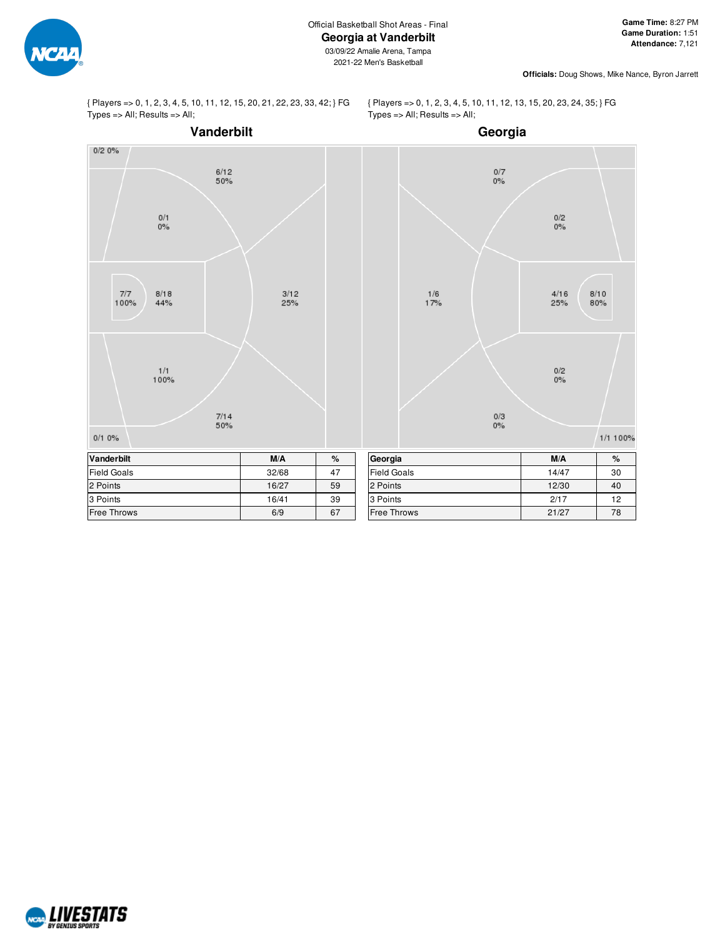

{ Players => 0, 1, 2, 3, 4, 5, 10, 11, 12, 15, 20, 21, 22, 23, 33, 42; } FG Types => All; Results => All;

{ Players => 0, 1, 2, 3, 4, 5, 10, 11, 12, 13, 15, 20, 23, 24, 35; } FG Types => All; Results => All;



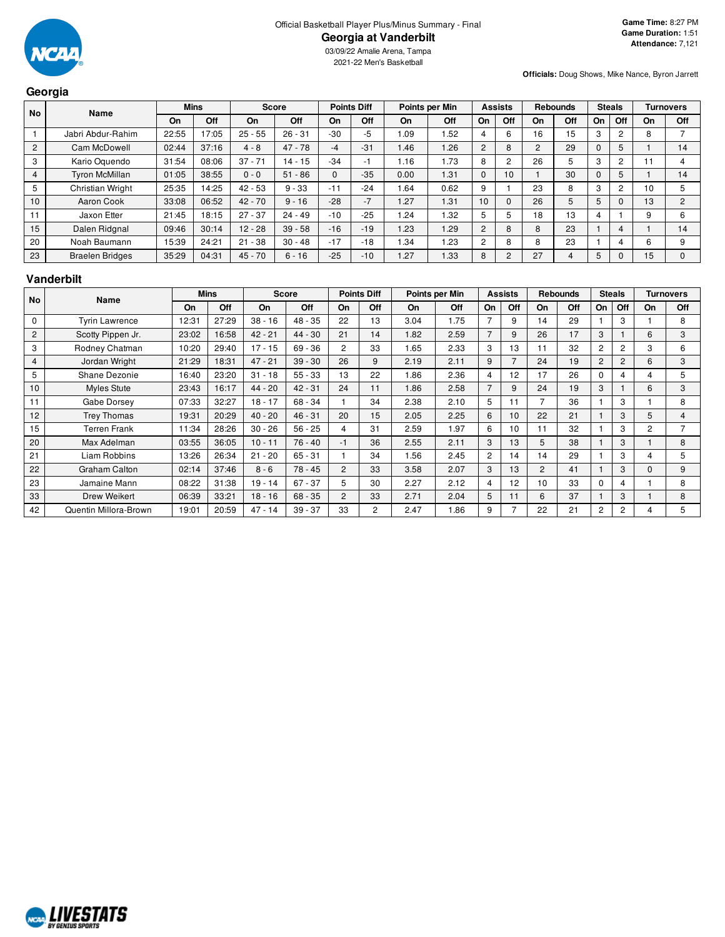

03/09/22 Amalie Arena, Tampa 2021-22 Men's Basketball

**Officials:** Doug Shows, Mike Nance, Byron Jarrett

|                   | Georgia                |             |       |              |           |                    |       |                |      |                |     |                 |     |               |                |                  |                |
|-------------------|------------------------|-------------|-------|--------------|-----------|--------------------|-------|----------------|------|----------------|-----|-----------------|-----|---------------|----------------|------------------|----------------|
| <b>No</b><br>Name |                        | <b>Mins</b> |       | <b>Score</b> |           | <b>Points Diff</b> |       | Points per Min |      | <b>Assists</b> |     | <b>Rebounds</b> |     | <b>Steals</b> |                | <b>Turnovers</b> |                |
|                   |                        | On          | Off   | On           | Off       | On                 | Off   | On             | Off  | On             | Off | On              | Off | On            | Off            | On               | Off            |
|                   | Jabri Abdur-Rahim      | 22:55       | 17:05 | $25 - 55$    | $26 - 31$ | $-30$              | -5    | . 09           | .52  |                | 6   | 16              | 15  | 3             | 2              |                  |                |
| $\overline{2}$    | Cam McDowell           | 02:44       | 37:16 | $4 - 8$      | $47 - 78$ | $-4$               | $-31$ | 1.46           | 1.26 | $\overline{2}$ | 8   | 2               | 29  | $\mathbf{0}$  | 5              |                  | 14             |
| 3                 | Kario Oguendo          | 31:54       | 08:06 | $37 - 71$    | $14 - 15$ | $-34$              | - 1   | 1.16           | 1.73 | 8              | 2   | 26              | 5   | 3             | 2              |                  | 4              |
| 4                 | <b>Tyron McMillan</b>  | 01:05       | 38:55 | $0 - 0$      | $51 - 86$ | $\mathbf 0$        | $-35$ | 0.00           | 1.31 | $\Omega$       | 10  |                 | 30  | $\Omega$      | 5              |                  | 14             |
| 5                 | Christian Wright       | 25:35       | 14:25 | $42 - 53$    | $9 - 33$  | $-11$              | $-24$ | .64            | 0.62 | 9              |     | 23              | 8   | 3             | $\overline{2}$ | 10               | 5              |
| 10                | Aaron Cook             | 33:08       | 06:52 | $42 - 70$    | $9 - 16$  | $-28$              | $-7$  | 1.27           | 1.31 | 10             | 0   | 26              | 5   | 5             |                | 13               | $\overline{2}$ |
| 11                | Jaxon Etter            | 21:45       | 18:15 | $27 - 37$    | $24 - 49$ | $-10$              | $-25$ | .24            | 1.32 | 5              | 5   | 18              | 13  | 4             |                | 9                | 6              |
| 15                | Dalen Ridgnal          | 09:46       | 30:14 | $12 - 28$    | $39 - 58$ | $-16$              | $-19$ | 1.23           | 1.29 | $\overline{2}$ | 8   | 8               | 23  |               | 4              |                  | 14             |
| 20                | Noah Baumann           | 15:39       | 24:21 | $21 - 38$    | $30 - 48$ | $-17$              | $-18$ | .34            | .23  | $\overline{2}$ | 8   | 8               | 23  |               |                | 6                | 9              |
| 23                | <b>Braelen Bridges</b> | 35:29       | 04:31 | $45 - 70$    | $6 - 16$  | $-25$              | $-10$ | 1.27           | 1.33 | 8              | 2   | 27              | 4   | 5             | 0              | 15               | $\Omega$       |

#### **Vanderbilt**

| No       | <b>Name</b>           |       | <b>Mins</b> |           | <b>Score</b> |                | <b>Points Diff</b>   |      | Points per Min |                | <b>Assists</b> |    | <b>Rebounds</b> |                | <b>Steals</b>  |          | <b>Turnovers</b> |
|----------|-----------------------|-------|-------------|-----------|--------------|----------------|----------------------|------|----------------|----------------|----------------|----|-----------------|----------------|----------------|----------|------------------|
|          |                       | On    | Off         | <b>On</b> | Off          | On             | Off                  | On   | Off            | On             | Off            | On | Off             | <b>On</b>      | Off            | On       | Off              |
| $\Omega$ | <b>Tyrin Lawrence</b> | 12:31 | 27:29       | $38 - 16$ | $48 - 35$    | 22             | 13                   | 3.04 | 1.75           |                | 9              | 14 | 29              |                | 3              |          | 8                |
| 2        | Scotty Pippen Jr.     | 23:02 | 16:58       | $42 - 21$ | $44 - 30$    | 21             | 14                   | 1.82 | 2.59           | $\overline{7}$ | 9              | 26 | 17              | 3              |                | 6        | 3                |
| 3        | Rodney Chatman        | 10:20 | 29:40       | $17 - 15$ | $69 - 36$    | $\overline{c}$ | 33                   | 1.65 | 2.33           | 3              | 13             | 11 | 32              | $\overline{c}$ | 2              | 3        | 6                |
| 4        | Jordan Wright         | 21:29 | 18:31       | $47 - 21$ | $39 - 30$    | 26             | 9                    | 2.19 | 2.11           | 9              | $\overline{7}$ | 24 | 19              | $\overline{2}$ | 2              | 6        | 3                |
| 5        | Shane Dezonie         | 16:40 | 23:20       | $31 - 18$ | $55 - 33$    | 13             | 22                   | 1.86 | 2.36           | $\overline{4}$ | 12             | 17 | 26              | $\Omega$       | 4              | 4        | 5                |
| 10       | <b>Myles Stute</b>    | 23:43 | 16:17       | $44 - 20$ | $42 - 31$    | 24             | 11                   | 1.86 | 2.58           |                | 9              | 24 | 19              | 3              |                | 6        | 3                |
| 11       | Gabe Dorsey           | 07:33 | 32:27       | $18 - 17$ | $68 - 34$    |                | 34                   | 2.38 | 2.10           | 5              | 11             | 7  | 36              |                | 3              |          | 8                |
| 12       | <b>Trey Thomas</b>    | 19:31 | 20:29       | $40 - 20$ | $46 - 31$    | 20             | 15                   | 2.05 | 2.25           | 6              | 10             | 22 | 21              |                | 3              | 5        | 4                |
| 15       | <b>Terren Frank</b>   | 11:34 | 28:26       | $30 - 26$ | $56 - 25$    | 4              | 31                   | 2.59 | 1.97           | 6              | 10             | 11 | 32              |                | 3              | 2        |                  |
| 20       | Max Adelman           | 03:55 | 36:05       | $10 - 11$ | $76 - 40$    | -1             | 36                   | 2.55 | 2.11           | 3              | 13             | 5  | 38              |                | 3              |          | 8                |
| 21       | Liam Robbins          | 13:26 | 26:34       | $21 - 20$ | $65 - 31$    |                | 34                   | 1.56 | 2.45           | $\overline{2}$ | 14             | 14 | 29              |                | 3              | 4        | 5                |
| 22       | Graham Calton         | 02:14 | 37:46       | $8 - 6$   | $78 - 45$    | 2              | 33                   | 3.58 | 2.07           | 3              | 13             | 2  | 41              |                | 3              | $\Omega$ | 9                |
| 23       | Jamaine Mann          | 08:22 | 31:38       | $19 - 14$ | $67 - 37$    | 5              | 30                   | 2.27 | 2.12           | 4              | 12             | 10 | 33              | 0              | 4              |          | 8                |
| 33       | Drew Weikert          | 06:39 | 33:21       | $18 - 16$ | $68 - 35$    | 2              | 33                   | 2.71 | 2.04           | 5              | 11             | 6  | 37              |                | 3              |          | 8                |
| 42       | Quentin Millora-Brown | 19:01 | 20:59       | $47 - 14$ | $39 - 37$    | 33             | $\mathbf{2}^{\circ}$ | 2.47 | 1.86           | 9              |                | 22 | 21              | 2              | $\overline{c}$ | 4        | 5                |

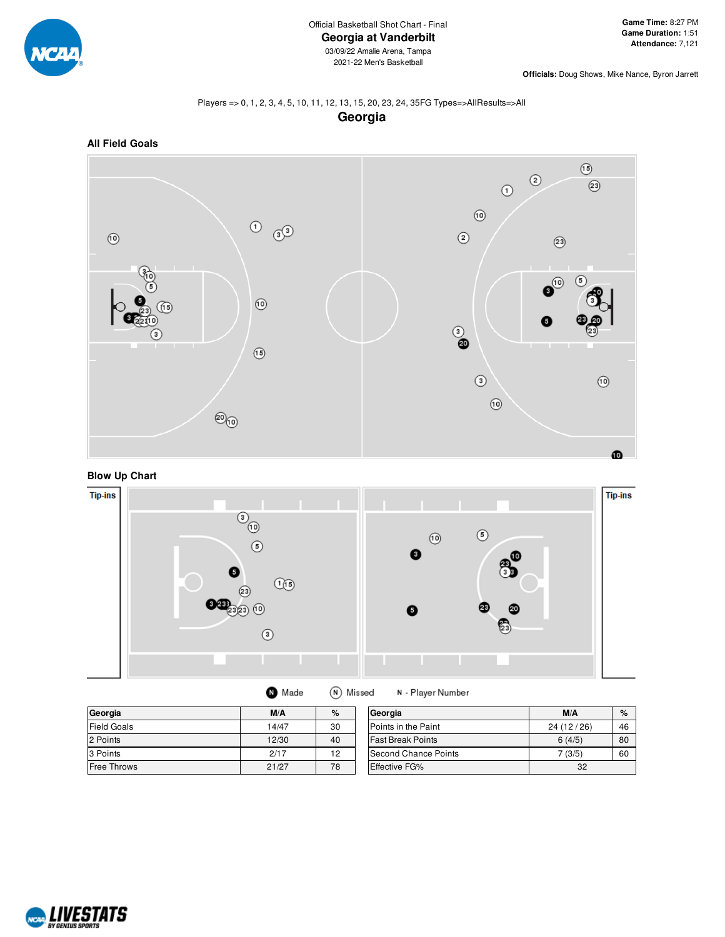

**Officials:** Doug Shows, Mike Nance, Byron Jarrett

#### Players => 0, 1, 2, 3, 4, 5, 10, 11, 12, 13, 15, 20, 23, 24, 35FG Types=>AllResults=>All **Georgia**



**Blow Up Chart**



(N) Missed

| Georgia     | M/A   | %  | G  |
|-------------|-------|----|----|
| Field Goals | 14/47 | 30 | P  |
| 2 Points    | 12/30 | 40 | F  |
| 3 Points    | 2/17  | 19 | lS |

**O** Made

**Free Throws** 21/27 78

| Georgia                  | M/A        | $\%$ |
|--------------------------|------------|------|
| Points in the Paint      | 24 (12/26) | 46   |
| <b>Fast Break Points</b> | 6(4/5)     | 80   |
| Second Chance Points     | 7(3/5)     | 60   |
| Effective FG%            | 32         |      |

N - Player Number

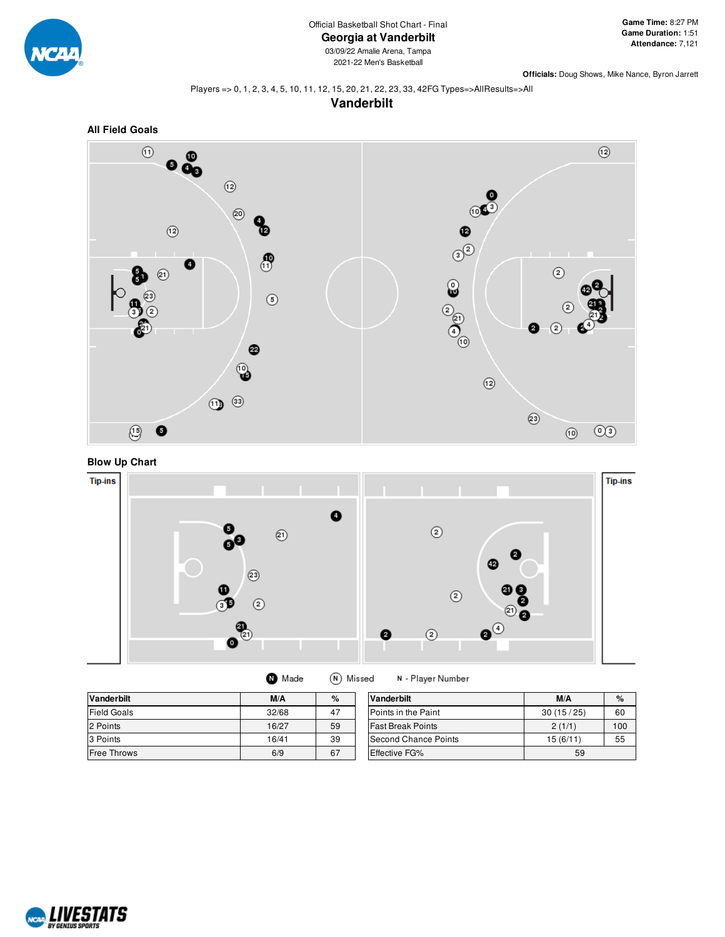

**Officials:** Doug Shows, Mike Nance, Byron Jarrett

#### Players => 0, 1, 2, 3, 4, 5, 10, 11, 12, 15, 20, 21, 22, 23, 33, 42FG Types=>AllResults=>All

**Vanderbilt**







**O** Made (N) Missed N - Player Number

| <b>Vanderbilt</b>  | M/A   | %  | Vanderbilt           | M/A       | $\%$ |
|--------------------|-------|----|----------------------|-----------|------|
| <b>Field Goals</b> | 32/68 | 47 | Points in the Paint  | 30(15/25) | 60   |
| 2 Points           | 16/27 | 59 | lFast Break Points   | 2(1/1)    | 100  |
| 3 Points           | 16/41 | 39 | Second Chance Points | 15(6/11)  | 55   |
| Free Throws        | 6/9   | 67 | <b>Effective FG%</b> |           |      |

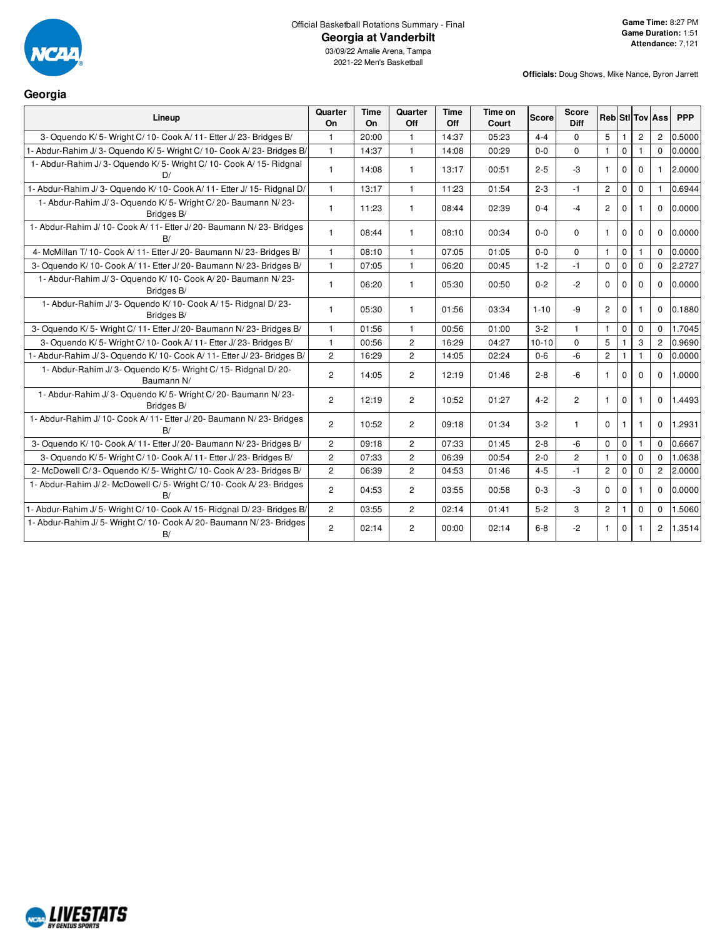

#### Official Basketball Rotations Summary - Final **Georgia at Vanderbilt**

03/09/22 Amalie Arena, Tampa 2021-22 Men's Basketball

**Officials:** Doug Shows, Mike Nance, Byron Jarrett

# **Georgia**

| Lineup                                                                      | Quarter<br>On  | Time<br>On | Quarter<br>Off | <b>Time</b><br>Off | Time on<br>Court | <b>Score</b> | <b>Score</b><br><b>Diff</b> |                |              |                | <b>Reb</b> StilTov Ass | <b>PPP</b> |
|-----------------------------------------------------------------------------|----------------|------------|----------------|--------------------|------------------|--------------|-----------------------------|----------------|--------------|----------------|------------------------|------------|
| 3- Oquendo K/5- Wright C/10- Cook A/11- Etter J/23- Bridges B/              |                | 20:00      | 1              | 14:37              | 05:23            | $4 - 4$      | $\Omega$                    | 5              |              | $\overline{2}$ | 2                      | 0.5000     |
| 1- Abdur-Rahim J/3- Oquendo K/5- Wright C/10- Cook A/23- Bridges B/         | $\mathbf{1}$   | 14:37      | $\mathbf{1}$   | 14:08              | 00:29            | $0 - 0$      | $\Omega$                    | $\mathbf{1}$   | $\Omega$     | 1              | $\Omega$               | 0.0000     |
| 1- Abdur-Rahim J/3- Oquendo K/5- Wright C/10- Cook A/15- Ridgnal<br>D/      | 1              | 14:08      | 1              | 13:17              | 00:51            | $2 - 5$      | -3                          | $\mathbf{1}$   | 0            | $\Omega$       | $\mathbf{1}$           | 2.0000     |
| 1- Abdur-Rahim J/3- Oquendo K/10- Cook A/11- Etter J/15- Ridgnal D/         | $\mathbf{1}$   | 13:17      | $\mathbf{1}$   | 11:23              | 01:54            | $2 - 3$      | $-1$                        | $\mathbf{2}$   | $\mathbf 0$  | $\mathbf 0$    |                        | 0.6944     |
| 1- Abdur-Rahim J/3- Oquendo K/5- Wright C/20- Baumann N/23-<br>Bridges B/   | 1              | 11:23      |                | 08:44              | 02:39            | $0 - 4$      | $-4$                        | $\overline{2}$ | $\Omega$     |                | $\Omega$               | 0.0000     |
| 1- Abdur-Rahim J/ 10- Cook A/ 11- Etter J/ 20- Baumann N/ 23- Bridges<br>B/ | $\mathbf{1}$   | 08:44      | 1              | 08:10              | 00:34            | $0-0$        | $\Omega$                    | $\mathbf{1}$   | $\mathbf{0}$ | $\Omega$       | $\mathbf 0$            | 0.0000     |
| 4- McMillan T/ 10- Cook A/ 11- Etter J/ 20- Baumann N/ 23- Bridges B/       | $\mathbf{1}$   | 08:10      | $\mathbf{1}$   | 07:05              | 01:05            | $0-0$        | $\Omega$                    | $\mathbf{1}$   | $\mathbf 0$  | 1              | $\Omega$               | 0.0000     |
| 3- Oquendo K/10- Cook A/11- Etter J/20- Baumann N/23- Bridges B/            | 1              | 07:05      | $\mathbf{1}$   | 06:20              | 00:45            | $1 - 2$      | $-1$                        | $\mathbf 0$    | $\Omega$     | $\Omega$       | $\Omega$               | 2.2727     |
| 1- Abdur-Rahim J/3- Oquendo K/10- Cook A/20- Baumann N/23-<br>Bridges B/    | 1              | 06:20      | 1              | 05:30              | 00:50            | $0 - 2$      | $-2$                        | $\mathbf 0$    | $\mathbf 0$  | 0              | $\mathbf 0$            | 0.0000     |
| 1- Abdur-Rahim J/3- Oquendo K/10- Cook A/15- Ridgnal D/23-<br>Bridges B/    | 1              | 05:30      | $\mathbf{1}$   | 01:56              | 03:34            | $1 - 10$     | $-9$                        | $\overline{2}$ | $\Omega$     | 1              | $\Omega$               | 0.1880     |
| 3- Oquendo K/ 5- Wright C/ 11- Etter J/ 20- Baumann N/ 23- Bridges B/       | 1              | 01:56      | $\mathbf{1}$   | 00:56              | 01:00            | $3 - 2$      | $\mathbf{1}$                | $\mathbf{1}$   | $\mathbf 0$  | $\Omega$       | $\Omega$               | 1.7045     |
| 3- Oquendo K/ 5- Wright C/ 10- Cook A/ 11- Etter J/ 23- Bridges B/          | 1              | 00:56      | $\overline{2}$ | 16:29              | 04:27            | $10 - 10$    | $\Omega$                    | 5              |              | 3              | 2                      | 0.9690     |
| 1- Abdur-Rahim J/3- Oquendo K/10- Cook A/11- Etter J/23- Bridges B/         | $\overline{2}$ | 16:29      | $\overline{2}$ | 14:05              | 02:24            | $0-6$        | $-6$                        | $\overline{c}$ | $\mathbf{1}$ | 1              | $\Omega$               | 0.0000     |
| 1- Abdur-Rahim J/3- Oquendo K/5- Wright C/15- Ridgnal D/20-<br>Baumann N/   | $\overline{2}$ | 14:05      | 2              | 12:19              | 01:46            | $2 - 8$      | -6                          | $\mathbf{1}$   | $\Omega$     | $\Omega$       | $\Omega$               | 1.0000     |
| 1- Abdur-Rahim J/3- Oquendo K/5- Wright C/20- Baumann N/23-<br>Bridges B/   | $\overline{2}$ | 12:19      | $\overline{c}$ | 10:52              | 01:27            | $4 - 2$      | $\overline{2}$              | $\mathbf{1}$   | $\Omega$     |                | $\Omega$               | 1.4493     |
| 1- Abdur-Rahim J/ 10- Cook A/ 11- Etter J/ 20- Baumann N/ 23- Bridges<br>R/ | $\overline{c}$ | 10:52      | $\overline{c}$ | 09:18              | 01:34            | $3 - 2$      | 1                           | $\Omega$       | 1            | 1              | $\Omega$               | 1.2931     |
| 3- Oquendo K/ 10- Cook A/ 11- Etter J/ 20- Baumann N/ 23- Bridges B/        | $\overline{2}$ | 09:18      | $\overline{2}$ | 07:33              | 01:45            | $2 - 8$      | -6                          | $\mathbf 0$    | $\mathbf 0$  | 1              | $\Omega$               | 0.6667     |
| 3- Oquendo K/5- Wright C/10- Cook A/11- Etter J/23- Bridges B/              | $\overline{2}$ | 07:33      | $\overline{2}$ | 06:39              | 00:54            | $2 - 0$      | $\overline{c}$              | $\mathbf{1}$   | $\mathbf 0$  | $\Omega$       | $\Omega$               | 1.0638     |
| 2- McDowell C/3- Oquendo K/5- Wright C/10- Cook A/23- Bridges B/            | $\overline{2}$ | 06:39      | $\overline{2}$ | 04:53              | 01:46            | $4 - 5$      | $-1$                        | $\overline{2}$ | $\mathbf 0$  | $\mathbf 0$    | $\overline{c}$         | 2.0000     |
| 1- Abdur-Rahim J/2- McDowell C/5- Wright C/10- Cook A/23- Bridges<br>B/     | $\overline{2}$ | 04:53      | $\overline{2}$ | 03:55              | 00:58            | $0 - 3$      | -3                          | $\Omega$       | $\mathbf 0$  |                | $\mathbf 0$            | 0.0000     |
| 1- Abdur-Rahim J/ 5- Wright C/ 10- Cook A/ 15- Ridgnal D/ 23- Bridges B/    | $\overline{2}$ | 03:55      | $\overline{2}$ | 02:14              | 01:41            | $5 - 2$      | 3                           | $\overline{2}$ |              | 0              | $\mathbf 0$            | 1.5060     |
| 1- Abdur-Rahim J/5- Wright C/10- Cook A/20- Baumann N/23- Bridges<br>B/     | $\overline{2}$ | 02:14      | $\overline{c}$ | 00:00              | 02:14            | $6 - 8$      | $-2$                        | $\mathbf{1}$   | $\Omega$     |                | $\overline{2}$         | 1.3514     |

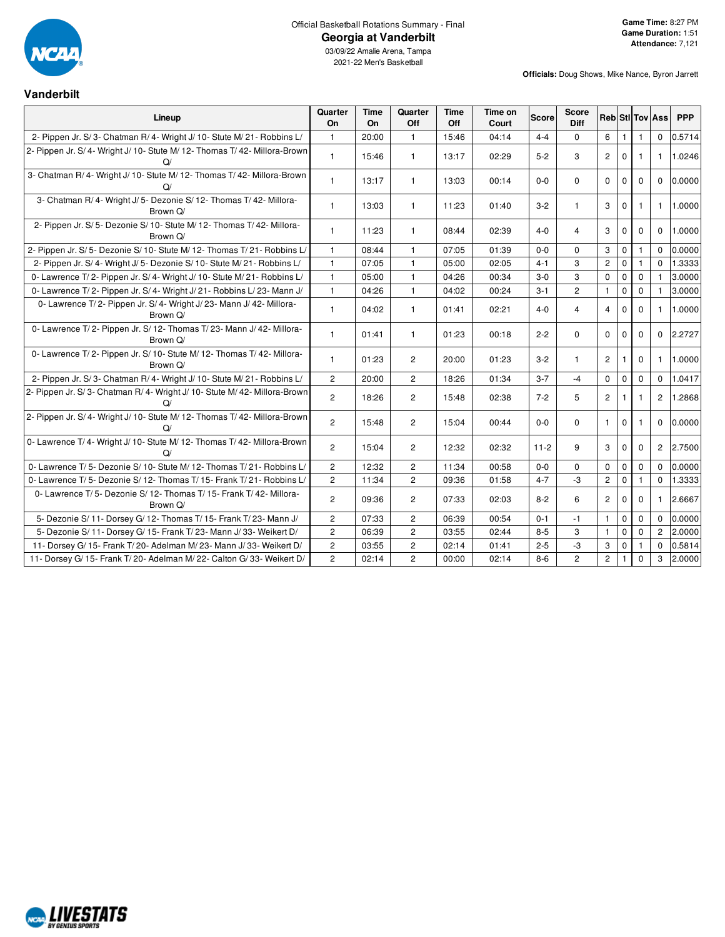

**Vanderbilt**

#### Official Basketball Rotations Summary - Final **Georgia at Vanderbilt**

03/09/22 Amalie Arena, Tampa 2021-22 Men's Basketball

**Officials:** Doug Shows, Mike Nance, Byron Jarrett

| Lineup                                                                              | Quarter<br>On  | <b>Time</b><br><b>On</b> | Quarter<br>Off | <b>Time</b><br>Off | Time on<br>Court | <b>Score</b> | Score<br><b>Diff</b> | <b>Reb</b> StI Tov Ass |              |                |                | <b>PPP</b> |
|-------------------------------------------------------------------------------------|----------------|--------------------------|----------------|--------------------|------------------|--------------|----------------------|------------------------|--------------|----------------|----------------|------------|
| 2- Pippen Jr. S/3- Chatman R/4- Wright J/10- Stute M/21- Robbins L/                 | $\mathbf{1}$   | 20:00                    | $\mathbf{1}$   | 15:46              | 04:14            | $4 - 4$      | $\mathbf 0$          | 6                      | $\mathbf{1}$ |                | $\mathbf 0$    | 0.5714     |
| 2- Pippen Jr. S/4- Wright J/10- Stute M/12- Thomas T/42- Millora-Brown<br>Q/        | $\mathbf{1}$   | 15:46                    | $\mathbf{1}$   | 13:17              | 02:29            | $5-2$        | 3                    | $\overline{c}$         | $\mathbf 0$  |                | 1.             | 1.0246     |
| 3- Chatman R/ 4- Wright J/ 10- Stute M/ 12- Thomas T/ 42- Millora-Brown<br>$\Omega$ | $\mathbf{1}$   | 13:17                    | $\mathbf{1}$   | 13:03              | 00:14            | $0-0$        | $\Omega$             | $\mathbf 0$            | $\mathbf 0$  | $\Omega$       | $\Omega$       | 0.0000     |
| 3- Chatman R/4- Wright J/5- Dezonie S/12- Thomas T/42- Millora-<br>Brown Q/         | $\mathbf{1}$   | 13:03                    | $\mathbf{1}$   | 11:23              | 01:40            | $3 - 2$      | $\mathbf{1}$         | 3                      | $\mathbf 0$  | 1.             | 1              | 1.0000     |
| 2- Pippen Jr. S/ 5- Dezonie S/ 10- Stute M/ 12- Thomas T/ 42- Millora-<br>Brown Q/  | $\mathbf{1}$   | 11:23                    | $\mathbf{1}$   | 08:44              | 02:39            | $4 - 0$      | 4                    | 3                      | 0            | $\mathbf{0}$   | 0              | 1.0000     |
| 2- Pippen Jr. S/5- Dezonie S/10- Stute M/12- Thomas T/21- Robbins L/                | $\mathbf{1}$   | 08:44                    | $\mathbf{1}$   | 07:05              | 01:39            | $0 - 0$      | $\Omega$             | 3                      | $\mathbf 0$  | $\mathbf{1}$   | $\Omega$       | 0.0000     |
| 2- Pippen Jr. S/ 4- Wright J/ 5- Dezonie S/ 10- Stute M/ 21- Robbins L/             | $\mathbf{1}$   | 07:05                    | $\mathbf{1}$   | 05:00              | 02:05            | $4 - 1$      | 3                    | $\overline{c}$         | $\pmb{0}$    | 1              | $\Omega$       | 1.3333     |
| 0- Lawrence T/2- Pippen Jr. S/4- Wright J/ 10- Stute M/21- Robbins L/               | $\mathbf{1}$   | 05:00                    | $\mathbf{1}$   | 04:26              | 00:34            | $3-0$        | 3                    | $\Omega$               | $\mathbf 0$  | $\Omega$       |                | 3.0000     |
| 0- Lawrence T/2- Pippen Jr. S/4- Wright J/21- Robbins L/23- Mann J/                 | $\mathbf{1}$   | 04:26                    | $\mathbf{1}$   | 04:02              | 00:24            | $3 - 1$      | $\overline{c}$       | $\mathbf{1}$           | $\pmb{0}$    | $\mathbf{0}$   | 1.             | 3.0000     |
| 0- Lawrence T/2- Pippen Jr. S/4- Wright J/23- Mann J/42- Millora-<br>Brown Q/       | $\mathbf{1}$   | 04:02                    | $\mathbf{1}$   | 01:41              | 02:21            | $4-0$        | $\overline{4}$       | $\overline{4}$         | $\mathbf{0}$ | $\mathbf{0}$   | 1              | 1.0000     |
| 0- Lawrence T/2- Pippen Jr. S/12- Thomas T/23- Mann J/42- Millora-<br>Brown Q/      | $\mathbf{1}$   | 01:41                    | $\mathbf{1}$   | 01:23              | 00:18            | $2 - 2$      | $\Omega$             | $\Omega$               | $\mathbf 0$  | $\Omega$       | $\Omega$       | 2.2727     |
| 0- Lawrence T/2- Pippen Jr. S/ 10- Stute M/ 12- Thomas T/ 42- Millora-<br>Brown Q/  | $\mathbf{1}$   | 01:23                    | $\overline{2}$ | 20:00              | 01:23            | $3 - 2$      | $\mathbf{1}$         | $\overline{2}$         | $\mathbf{1}$ | $\Omega$       | 1              | 1.0000     |
| 2- Pippen Jr. S/3- Chatman R/4- Wright J/10- Stute M/21- Robbins L/                 | $\mathbf 2$    | 20:00                    | $\overline{c}$ | 18:26              | 01:34            | $3 - 7$      | $-4$                 | 0                      | $\mathbf 0$  | 0              | 0              | 1.0417     |
| 2- Pippen Jr. S/3- Chatman R/4- Wright J/10- Stute M/42- Millora-Brown<br>Q/        | $\overline{2}$ | 18:26                    | $\overline{c}$ | 15:48              | 02:38            | $7 - 2$      | 5                    | $\overline{c}$         | $\mathbf{1}$ | 1              | $\overline{2}$ | 1.2868     |
| 2- Pippen Jr. S/4- Wright J/10- Stute M/12- Thomas T/42- Millora-Brown<br>Q/        | $\overline{2}$ | 15:48                    | $\overline{c}$ | 15:04              | 00:44            | $0-0$        | $\Omega$             | 1                      | $\mathbf 0$  |                | $\Omega$       | 0.0000     |
| 0- Lawrence T/4- Wright J/10- Stute M/12- Thomas T/42- Millora-Brown<br>$\Omega$    | $\overline{2}$ | 15:04                    | $\overline{2}$ | 12:32              | 02:32            | $11 - 2$     | 9                    | 3                      | $\mathbf 0$  | $\Omega$       | $\overline{2}$ | 2.7500     |
| 0- Lawrence T/5- Dezonie S/10- Stute M/12- Thomas T/21- Robbins L/                  | $\overline{c}$ | 12:32                    | $\overline{2}$ | 11:34              | 00:58            | $0-0$        | 0                    | 0                      | $\mathbf 0$  | 0              | 0              | 0.0000     |
| 0- Lawrence T/5- Dezonie S/12- Thomas T/15- Frank T/21- Robbins L/                  | $\overline{2}$ | 11:34                    | $\overline{2}$ | 09:36              | 01:58            | $4 - 7$      | $-3$                 | $\overline{2}$         | $\mathbf 0$  | $\overline{1}$ | 0              | 1.3333     |
| 0- Lawrence T/5- Dezonie S/12- Thomas T/15- Frank T/42- Millora-<br>Brown Q/        | $\overline{2}$ | 09:36                    | $\overline{2}$ | 07:33              | 02:03            | $8 - 2$      | 6                    | $\overline{c}$         | $\mathbf 0$  | $\mathbf{0}$   | 1              | 2.6667     |
| 5- Dezonie S/11- Dorsey G/12- Thomas T/15- Frank T/23- Mann J/                      | $\overline{2}$ | 07:33                    | $\overline{c}$ | 06:39              | 00:54            | $0 - 1$      | $-1$                 | $\mathbf{1}$           | $\pmb{0}$    | $\mathbf 0$    | 0              | 0.0000     |
| 5- Dezonie S/ 11- Dorsey G/ 15- Frank T/ 23- Mann J/ 33- Weikert D/                 | $\overline{2}$ | 06:39                    | $\overline{c}$ | 03:55              | 02:44            | $8 - 5$      | 3                    | $\mathbf{1}$           | $\mathbf 0$  | $\Omega$       | $\overline{2}$ | 2.0000     |
| 11- Dorsey G/ 15- Frank T/ 20- Adelman M/ 23- Mann J/ 33- Weikert D/                | $\mathbf 2$    | 03:55                    | $\overline{c}$ | 02:14              | 01:41            | $2 - 5$      | -3                   | 3                      | 0            |                | $\Omega$       | 0.5814     |
| 11- Dorsey G/ 15- Frank T/ 20- Adelman M/ 22- Calton G/ 33- Weikert D/              | $\overline{2}$ | 02:14                    | $\overline{c}$ | 00:00              | 02:14            | $8 - 6$      | $\overline{2}$       | $\overline{c}$         | $\mathbf{1}$ | $\mathbf 0$    | 3              | 2.0000     |

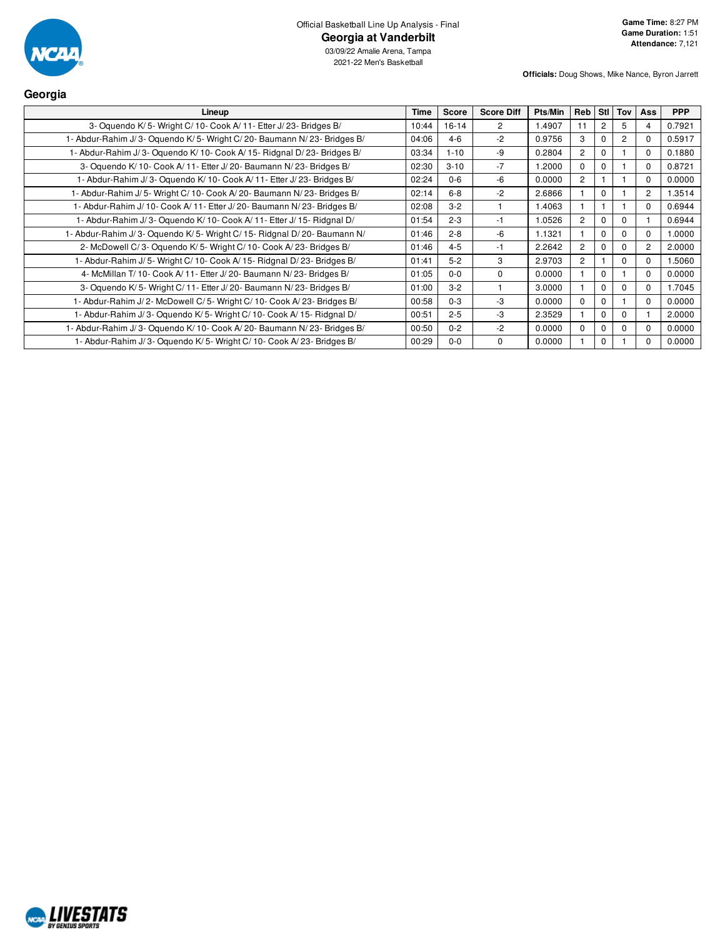

03/09/22 Amalie Arena, Tampa 2021-22 Men's Basketball

**Officials:** Doug Shows, Mike Nance, Byron Jarrett

| Georgia                                                                  |             |              |                   |         |                |                |                |                |            |
|--------------------------------------------------------------------------|-------------|--------------|-------------------|---------|----------------|----------------|----------------|----------------|------------|
| Lineup                                                                   | <b>Time</b> | <b>Score</b> | <b>Score Diff</b> | Pts/Min | Reb            | Stl l          | Tov            | Ass            | <b>PPP</b> |
| 3- Oquendo K/5- Wright C/10- Cook A/11- Etter J/23- Bridges B/           | 10:44       | $16-14$      | 2                 | 1.4907  | 11             | $\overline{c}$ | 5              |                | 0.7921     |
| 1- Abdur-Rahim J/3- Oquendo K/5- Wright C/20- Baumann N/23- Bridges B/   | 04:06       | $4 - 6$      | $-2$              | 0.9756  | 3              |                | $\overline{2}$ | $\Omega$       | 0.5917     |
| 1- Abdur-Rahim J/3- Oquendo K/10- Cook A/15- Ridgnal D/23- Bridges B/    | 03:34       | $1 - 10$     | $-9$              | 0.2804  | $\overline{2}$ | 0              |                | $\Omega$       | 0.1880     |
| 3- Oquendo K/10- Cook A/11- Etter J/20- Baumann N/23- Bridges B/         | 02:30       | $3 - 10$     | $-7$              | 1.2000  | $\Omega$       | $\Omega$       |                | $\Omega$       | 0.8721     |
| 1- Abdur-Rahim J/3- Oquendo K/10- Cook A/11- Etter J/23- Bridges B/      | 02:24       | $0 - 6$      | $-6$              | 0.0000  | $\overline{2}$ |                |                | $\Omega$       | 0.0000     |
| 1- Abdur-Rahim J/ 5- Wright C/ 10- Cook A/ 20- Baumann N/ 23- Bridges B/ | 02:14       | $6 - 8$      | $-2$              | 2.6866  |                | $\Omega$       |                | $\overline{2}$ | 1.3514     |
| 1- Abdur-Rahim J/ 10- Cook A/ 11- Etter J/ 20- Baumann N/ 23- Bridges B/ | 02:08       | $3 - 2$      |                   | 1.4063  |                |                |                | $\Omega$       | 0.6944     |
| 1- Abdur-Rahim J/3- Oguendo K/10- Cook A/11- Etter J/15- Ridgnal D/      | 01:54       | $2 - 3$      | $-1$              | 1.0526  | $\overline{2}$ | 0              | $\Omega$       |                | 0.6944     |
| 1- Abdur-Rahim J/3- Oquendo K/5- Wright C/15- Ridgnal D/20- Baumann N/   | 01:46       | $2 - 8$      | -6                | 1.1321  |                | 0              | $\Omega$       | $\Omega$       | 1.0000     |
| 2- McDowell C/3- Oquendo K/5- Wright C/10- Cook A/23- Bridges B/         | 01:46       | $4 - 5$      | $-1$              | 2.2642  | $\overline{2}$ | 0              | $\mathbf 0$    | $\overline{c}$ | 2.0000     |
| 1- Abdur-Rahim J/ 5- Wright C/ 10- Cook A/ 15- Ridgnal D/ 23- Bridges B/ | 01:41       | $5 - 2$      | 3                 | 2.9703  | $\overline{2}$ |                | $\mathbf 0$    | $\Omega$       | 1.5060     |
| 4- McMillan T/ 10- Cook A/ 11- Etter J/ 20- Baumann N/ 23- Bridges B/    | 01:05       | $0 - 0$      | $\Omega$          | 0.0000  |                | $\Omega$       |                | $\Omega$       | 0.0000     |
| 3- Oquendo K/5- Wright C/11- Etter J/20- Baumann N/23- Bridges B/        | 01:00       | $3-2$        |                   | 3.0000  |                |                | $\Omega$       | <sup>0</sup>   | 1.7045     |
| 1- Abdur-Rahim J/2- McDowell C/5- Wright C/10- Cook A/23- Bridges B/     | 00:58       | $0 - 3$      | $-3$              | 0.0000  | $\Omega$       | $\Omega$       |                | $\Omega$       | 0.0000     |
| 1- Abdur-Rahim J/3- Oquendo K/5- Wright C/10- Cook A/15- Ridgnal D/      | 00:51       | $2 - 5$      | $-3$              | 2.3529  |                | 0              | $\Omega$       |                | 2.0000     |
| 1- Abdur-Rahim J/3- Oguendo K/10- Cook A/20- Baumann N/23- Bridges B/    | 00:50       | $0 - 2$      | $-2$              | 0.0000  | $\Omega$       | O.             | $\Omega$       | <sup>0</sup>   | 0.0000     |
| 1- Abdur-Rahim J/3- Oquendo K/5- Wright C/10- Cook A/23- Bridges B/      | 00:29       | $0 - 0$      | $\Omega$          | 0.0000  |                | 0              |                |                | 0.0000     |